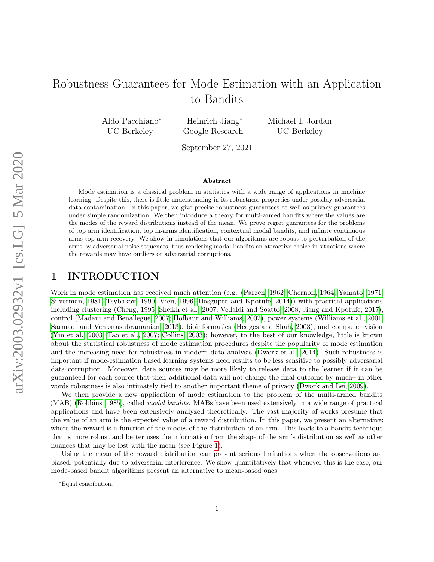# Robustness Guarantees for Mode Estimation with an Application to Bandits

Aldo Pacchiano<sup>∗</sup> UC Berkeley

Heinrich Jiang<sup>∗</sup> Google Research Michael I. Jordan UC Berkeley

September 27, 2021

#### Abstract

Mode estimation is a classical problem in statistics with a wide range of applications in machine learning. Despite this, there is little understanding in its robustness properties under possibly adversarial data contamination. In this paper, we give precise robustness guarantees as well as privacy guarantees under simple randomization. We then introduce a theory for multi-armed bandits where the values are the modes of the reward distributions instead of the mean. We prove regret guarantees for the problems of top arm identification, top m-arms identification, contextual modal bandits, and infinite continuous arms top arm recovery. We show in simulations that our algorithms are robust to perturbation of the arms by adversarial noise sequences, thus rendering modal bandits an attractive choice in situations where the rewards may have outliers or adversarial corruptions.

## <span id="page-0-0"></span>1 INTRODUCTION

Work in mode estimation has received much attention (e.g. [\(Parzen, 1962;](#page-13-0) [Chernoff, 1964;](#page-12-0) [Yamato, 1971;](#page-13-1) [Silverman, 1981;](#page-13-2) [Tsybakov, 1990;](#page-13-3) [Vieu, 1996;](#page-13-4) [Dasgupta and Kpotufe, 2014\)](#page-12-1)) with practical applications including clustering [\(Cheng, 1995;](#page-12-2) [Sheikh et al., 2007;](#page-13-5) [Vedaldi and Soatto, 2008;](#page-13-6) [Jiang and Kpotufe, 2017\)](#page-13-7), control [\(Madani and Benallegue, 2007;](#page-13-8) [Hofbaur and Williams, 2002\)](#page-13-9), power systems [\(Williams et al., 2001;](#page-13-10) [Sarmadi and Venkatasubramanian, 2013\)](#page-13-11), bioinformatics [\(Hedges and Shah, 2003\)](#page-12-3), and computer vision [\(Yin et al., 2003;](#page-13-12) [Tao et al., 2007;](#page-13-13) [Collins, 2003\)](#page-12-4); however, to the best of our knowledge, little is known about the statistical robustness of mode estimation procedures despite the popularity of mode estimation and the increasing need for robustness in modern data analysis [\(Dwork et al., 2014\)](#page-12-5). Such robustness is important if mode-estimation based learning systems need results to be less sensitive to possibly adversarial data corruption. Moreover, data sources may be more likely to release data to the learner if it can be guaranteed for each source that their additional data will not change the final outcome by much– in other words robustness is also intimately tied to another important theme of privacy [\(Dwork and Lei, 2009\)](#page-12-6).

We then provide a new application of mode estimation to the problem of the multi-armed bandits (MAB) [\(Robbins, 1985\)](#page-13-14), called modal bandits. MABs have been used extensively in a wide range of practical applications and have been extensively analyzed theoretically. The vast majority of works presume that the value of an arm is the expected value of a reward distribution. In this paper, we present an alternative: where the reward is a function of the modes of the distribution of an arm. This leads to a bandit technique that is more robust and better uses the information from the shape of the arm's distribution as well as other nuances that may be lost with the mean (see Figure [1\)](#page-0-0).

Using the mean of the reward distribution can present serious limitations when the observations are biased, potentially due to adversarial interference. We show quantitatively that whenever this is the case, our mode-based bandit algorithms present an alternative to mean-based ones.

<sup>∗</sup>Equal contribution.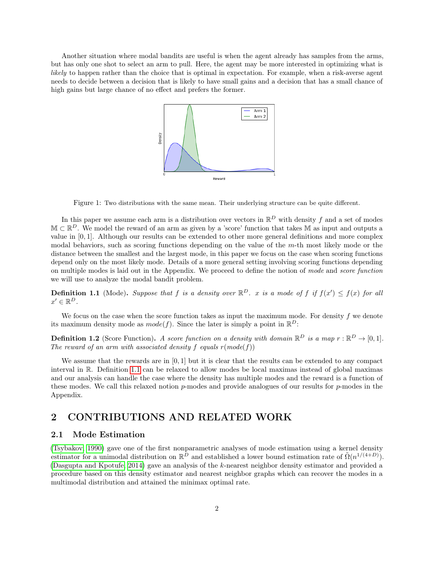Another situation where modal bandits are useful is when the agent already has samples from the arms, but has only one shot to select an arm to pull. Here, the agent may be more interested in optimizing what is likely to happen rather than the choice that is optimal in expectation. For example, when a risk-averse agent needs to decide between a decision that is likely to have small gains and a decision that has a small chance of high gains but large chance of no effect and prefers the former.



Figure 1: Two distributions with the same mean. Their underlying structure can be quite different.

In this paper we assume each arm is a distribution over vectors in  $\mathbb{R}^D$  with density f and a set of modes  $\mathbb{M} \subset \mathbb{R}^D$ . We model the reward of an arm as given by a 'score' function that takes M as input and outputs a value in [0, 1]. Although our results can be extended to other more general definitions and more complex modal behaviors, such as scoring functions depending on the value of the m-th most likely mode or the distance between the smallest and the largest mode, in this paper we focus on the case when scoring functions depend only on the most likely mode. Details of a more general setting involving scoring functions depending on multiple modes is laid out in the Appendix. We proceed to define the notion of mode and score function we will use to analyze the modal bandit problem.

<span id="page-1-0"></span>**Definition 1.1** (Mode). Suppose that f is a density over  $\mathbb{R}^D$ . x is a mode of f if  $f(x') \leq f(x)$  for all  $x' \in \mathbb{R}^D$ .

We focus on the case when the score function takes as input the maximum mode. For density  $f$  we denote its maximum density mode as  $mode(f)$ . Since the later is simply a point in  $\mathbb{R}^D$ :

**Definition 1.2** (Score Function). A score function on a density with domain  $\mathbb{R}^D$  is a map  $r : \mathbb{R}^D \to [0,1]$ . The reward of an arm with associated density f equals  $r(model(f))$ 

We assume that the rewards are in [0, 1] but it is clear that the results can be extended to any compact interval in R. Definition [1.1](#page-1-0) can be relaxed to allow modes be local maximas instead of global maximas and our analysis can handle the case where the density has multiple modes and the reward is a function of these modes. We call this relaxed notion p-modes and provide analogues of our results for p-modes in the Appendix.

## 2 CONTRIBUTIONS AND RELATED WORK

#### 2.1 Mode Estimation

[\(Tsybakov, 1990\)](#page-13-3) gave one of the first nonparametric analyses of mode estimation using a kernel density estimator for a unimodal distribution on  $\mathbb{R}^{\tilde{D}}$  and established a lower bound estimation rate of  $\tilde{\Omega}(n^{1/(4+D)})$ . [\(Dasgupta and Kpotufe, 2014\)](#page-12-1) gave an analysis of the k-nearest neighbor density estimator and provided a procedure based on this density estimator and nearest neighbor graphs which can recover the modes in a multimodal distribution and attained the minimax optimal rate.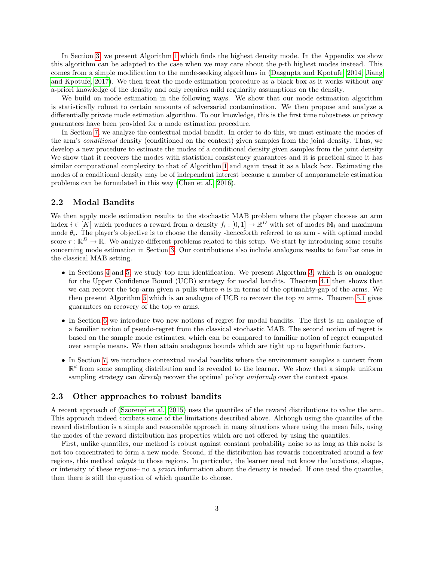In Section [3,](#page-3-0) we present Algorithm [1](#page-3-1) which finds the highest density mode. In the Appendix we show this algorithm can be adapted to the case when we may care about the p-th highest modes instead. This comes from a simple modification to the mode-seeking algorithms in [\(Dasgupta and Kpotufe, 2014;](#page-12-1) [Jiang](#page-13-7) [and Kpotufe, 2017\)](#page-13-7). We then treat the mode estimation procedure as a black box as it works without any a-priori knowledge of the density and only requires mild regularity assumptions on the density.

We build on mode estimation in the following ways. We show that our mode estimation algorithm is statistically robust to certain amounts of adversarial contamination. We then propose and analyze a differentially private mode estimation algorithm. To our knowledge, this is the first time robustness or privacy guarantees have been provided for a mode estimation procedure.

In Section [7,](#page-9-0) we analyze the contextual modal bandit. In order to do this, we must estimate the modes of the arm's conditional density (conditioned on the context) given samples from the joint density. Thus, we develop a new procedure to estimate the modes of a conditional density given samples from the joint density. We show that it recovers the modes with statistical consistency guarantees and it is practical since it has similar computational complexity to that of Algorithm [1](#page-3-1) and again treat it as a black box. Estimating the modes of a conditional density may be of independent interest because a number of nonparametric estimation problems can be formulated in this way [\(Chen et al., 2016\)](#page-12-7).

#### 2.2 Modal Bandits

We then apply mode estimation results to the stochastic MAB problem where the player chooses an arm index  $i \in [K]$  which produces a reward from a density  $f_i : [0,1] \to \mathbb{R}^D$  with set of modes  $\mathbb{M}_i$  and maximum mode  $\theta_i$ . The player's objective is to choose the density -henceforth referred to as arm - with optimal modal score  $r : \mathbb{R}^D \to \mathbb{R}$ . We analyze different problems related to this setup. We start by introducing some results concerning mode estimation in Section [3.](#page-3-0) Our contributions also include analogous results to familiar ones in the classical MAB setting.

- In Sections [4](#page-6-0) and [5,](#page-7-0) we study top arm identification. We present Algorthm [3,](#page-6-1) which is an analogue for the Upper Confidence Bound (UCB) strategy for modal bandits. Theorem [4.1](#page-6-2) then shows that we can recover the top-arm given n pulls where  $n$  is in terms of the optimality-gap of the arms. We then present Algorithm [5](#page-8-0) which is an analogue of UCB to recover the top  $m$  arms. Theorem [5.1](#page-8-1) gives guarantees on recovery of the top m arms.
- In Section [6](#page-8-2) we introduce two new notions of regret for modal bandits. The first is an analogue of a familiar notion of pseudo-regret from the classical stochastic MAB. The second notion of regret is based on the sample mode estimates, which can be compared to familiar notion of regret computed over sample means. We then attain analogous bounds which are tight up to logarithmic factors.
- In Section [7,](#page-9-0) we introduce contextual modal bandits where the environment samples a context from  $\mathbb{R}^d$  from some sampling distribution and is revealed to the learner. We show that a simple uniform sampling strategy can *directly* recover the optimal policy *uniformly* over the context space.

#### 2.3 Other approaches to robust bandits

A recent approach of [\(Szorenyi et al., 2015\)](#page-13-15) uses the quantiles of the reward distributions to value the arm. This approach indeed combats some of the limitations described above. Although using the quantiles of the reward distribution is a simple and reasonable approach in many situations where using the mean fails, using the modes of the reward distribution has properties which are not offered by using the quantiles.

First, unlike quantiles, our method is robust against constant probability noise so as long as this noise is not too concentrated to form a new mode. Second, if the distribution has rewards concentrated around a few regions, this method adapts to those regions. In particular, the learner need not know the locations, shapes, or intensity of these regions– no a priori information about the density is needed. If one used the quantiles, then there is still the question of which quantile to choose.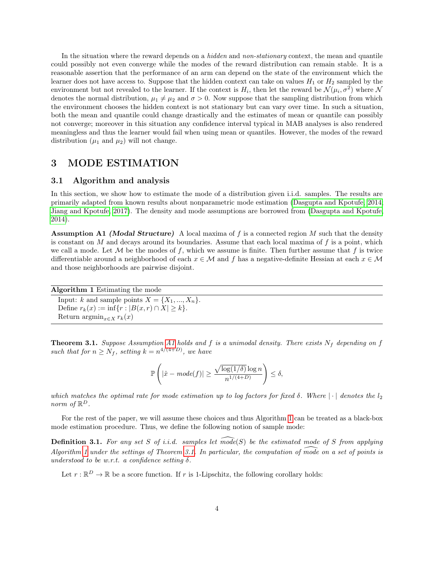In the situation where the reward depends on a *hidden* and *non-stationary* context, the mean and quantile could possibly not even converge while the modes of the reward distribution can remain stable. It is a reasonable assertion that the performance of an arm can depend on the state of the environment which the learner does not have access to. Suppose that the hidden context can take on values  $H_1$  or  $H_2$  sampled by the environment but not revealed to the learner. If the context is  $H_i$ , then let the reward be  $\mathcal{N}(\mu_i, \sigma^2)$  where  $\mathcal{N}$ denotes the normal distribution,  $\mu_1 \neq \mu_2$  and  $\sigma > 0$ . Now suppose that the sampling distribution from which the environment chooses the hidden context is not stationary but can vary over time. In such a situation, both the mean and quantile could change drastically and the estimates of mean or quantile can possibly not converge; moreover in this situation any confidence interval typical in MAB analyses is also rendered meaningless and thus the learner would fail when using mean or quantiles. However, the modes of the reward distribution  $(\mu_1 \text{ and } \mu_2)$  will not change.

#### <span id="page-3-0"></span>3 MODE ESTIMATION

#### 3.1 Algorithm and analysis

In this section, we show how to estimate the mode of a distribution given i.i.d. samples. The results are primarily adapted from known results about nonparametric mode estimation [\(Dasgupta and Kpotufe, 2014;](#page-12-1) [Jiang and Kpotufe, 2017\)](#page-13-7). The density and mode assumptions are borrowed from [\(Dasgupta and Kpotufe,](#page-12-1) [2014\)](#page-12-1).

<span id="page-3-2"></span>**Assumption A1 (Modal Structure)** A local maxima of f is a connected region M such that the density is constant on  $M$  and decays around its boundaries. Assume that each local maxima of  $f$  is a point, which we call a mode. Let M be the modes of f, which we assume is finite. Then further assume that f is twice differentiable around a neighborhood of each  $x \in \mathcal{M}$  and f has a negative-definite Hessian at each  $x \in \mathcal{M}$ and those neighborhoods are pairwise disjoint.

<span id="page-3-1"></span>Algorithm 1 Estimating the mode Input: k and sample points  $X = \{X_1, ..., X_n\}.$ Define  $r_k(x) := \inf\{r : |B(x,r) \cap X| \geq k\}.$ Return  $\operatorname{argmin}_{x \in X} r_k(x)$ 

<span id="page-3-3"></span>**Theorem 3.1.** Suppose Assumption [A1](#page-3-2) holds and f is a unimodal density. There exists  $N_f$  depending on f such that for  $n \geq N_f$ , setting  $k = n^{4/(4+D)}$ , we have

$$
\mathbb{P}\left(|\hat{x} - mode(f)| \ge \frac{\sqrt{\log(1/\delta)}\log n}{n^{1/(4+D)}}\right) \le \delta,
$$

which matches the optimal rate for mode estimation up to log factors for fixed  $\delta$ . Where  $|\cdot|$  denotes the  $l_2$ norm of  $\mathbb{R}^D$ .

For the rest of the paper, we will assume these choices and thus Algorithm [1](#page-3-1) can be treated as a black-box mode estimation procedure. Thus, we define the following notion of sample mode:

**Definition 3.1.** For any set S of i.i.d. samples let mode(S) be the estimated mode of S from applying Algorithm [1](#page-3-1) under the settings of Theorem [3.1.](#page-3-3) In particular, the computation of mode on a set of points is understood to be w.r.t. a confidence setting  $\delta$ .

Let  $r : \mathbb{R}^D \to \mathbb{R}$  be a score function. If r is 1-Lipschitz, the following corollary holds: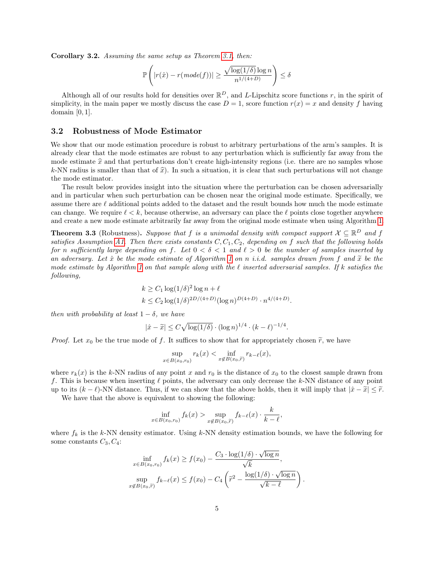Corollary 3.2. Assuming the same setup as Theorem [3.1,](#page-3-3) then:

$$
\mathbb{P}\left(|r(\hat{x}) - r(mode(f))| \ge \frac{\sqrt{\log(1/\delta)}\log n}{n^{1/(4+D)}}\right) \le \delta
$$

Although all of our results hold for densities over  $\mathbb{R}^D$ , and L-Lipschitz score functions r, in the spirit of simplicity, in the main paper we mostly discuss the case  $D = 1$ , score function  $r(x) = x$  and density f having domain [0, 1].

#### 3.2 Robustness of Mode Estimator

We show that our mode estimation procedure is robust to arbitrary perturbations of the arm's samples. It is already clear that the mode estimates are robust to any perturbation which is sufficiently far away from the mode estimate  $\hat{x}$  and that perturbations don't create high-intensity regions (i.e. there are no samples whose k-NN radius is smaller than that of  $\hat{x}$ ). In such a situation, it is clear that such perturbations will not change the mode estimator.

The result below provides insight into the situation where the perturbation can be chosen adversarially and in particular when such perturbation can be chosen near the original mode estimate. Specifically, we assume there are  $\ell$  additional points added to the dataset and the result bounds how much the mode estimate can change. We require  $\ell < k$ , because otherwise, an adversary can place the  $\ell$  points close together anywhere and create a new mode estimate arbitrarily far away from the original mode estimate when using Algorithm [1.](#page-3-1)

<span id="page-4-0"></span>**Theorem 3.3** (Robustness). Suppose that f is a unimodal density with compact support  $X \subseteq \mathbb{R}^D$  and f satisfies Assumption [A1.](#page-3-2) Then there exists constants  $C, C_1, C_2$ , depending on f such that the following holds for n sufficiently large depending on f. Let  $0 < \delta < 1$  and  $\ell > 0$  be the number of samples inserted by an adversary. Let  $\hat{x}$  be the mode estimate of Algorithm [1](#page-3-1) on n i.i.d. samples drawn from f and  $\tilde{x}$  be the mode estimate by Algorithm [1](#page-3-1) on that sample along with the  $\ell$  inserted adversarial samples. If k satisfies the following,

$$
k \ge C_1 \log(1/\delta)^2 \log n + \ell
$$
  

$$
k \le C_2 \log(1/\delta)^{2D/(4+D)} (\log n)^{D(4+D)} \cdot n^{4/(4+D)}.
$$

then with probability at least  $1 - \delta$ , we have

$$
|\hat{x} - \tilde{x}| \le C\sqrt{\log(1/\delta)} \cdot (\log n)^{1/4} \cdot (k - \ell)^{-1/4}
$$

.

.

*Proof.* Let  $x_0$  be the true mode of f. It suffices to show that for appropriately chosen  $\tilde{r}$ , we have

$$
\sup_{x \in B(x_0,r_0)} r_k(x) < \inf_{x \notin B(x_0,\widetilde{r})} r_{k-\ell}(x),
$$

where  $r_k(x)$  is the k-NN radius of any point x and  $r_0$  is the distance of  $x_0$  to the closest sample drawn from f. This is because when inserting  $\ell$  points, the adversary can only decrease the k-NN distance of any point up to its  $(k - \ell)$ -NN distance. Thus, if we can show that the above holds, then it will imply that  $|\hat{x} - \tilde{x}| \leq \tilde{r}$ .

We have that the above is equivalent to showing the following:

$$
\inf_{x \in B(x_0, r_0)} f_k(x) > \sup_{x \notin B(x_0, \widetilde{r})} f_{k-\ell}(x) \cdot \frac{k}{k-\ell},
$$

where  $f_k$  is the k-NN density estimator. Using k-NN density estimation bounds, we have the following for some constants  $C_3, C_4$ :

$$
\inf_{x \in B(x_0, r_0)} f_k(x) \ge f(x_0) - \frac{C_3 \cdot \log(1/\delta) \cdot \sqrt{\log n}}{\sqrt{k}},
$$
  

$$
\sup_{x \notin B(x_0, \widetilde{r})} f_{k-\ell}(x) \le f(x_0) - C_4 \left( \widetilde{r}^2 - \frac{\log(1/\delta) \cdot \sqrt{\log n}}{\sqrt{k-\ell}} \right)
$$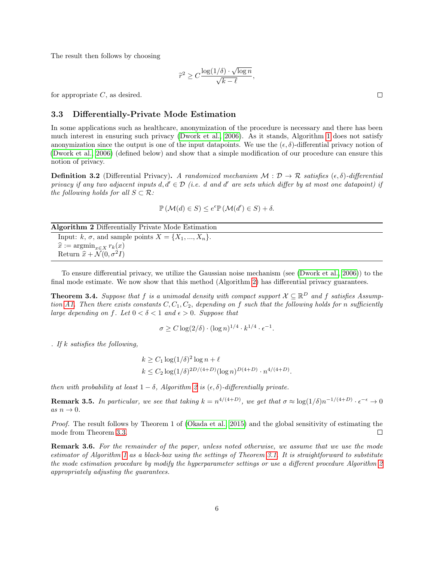The result then follows by choosing

$$
\widetilde{r}^2 \ge C \frac{\log(1/\delta) \cdot \sqrt{\log n}}{\sqrt{k - \ell}},
$$

for appropriate  $C$ , as desired.

#### 3.3 Differentially-Private Mode Estimation

In some applications such as healthcare, anonymization of the procedure is necessary and there has been much interest in ensuring such privacy [\(Dwork et al., 2006\)](#page-12-8). As it stands, Algorithm [1](#page-3-1) does not satisfy anonymization since the output is one of the input datapoints. We use the  $(\epsilon, \delta)$ -differential privacy notion of [\(Dwork et al., 2006\)](#page-12-8) (defined below) and show that a simple modification of our procedure can ensure this notion of privacy.

**Definition 3.2** (Differential Privacy). A randomized mechanism  $M : \mathcal{D} \to \mathcal{R}$  satisfies  $(\epsilon, \delta)$ -differential privacy if any two adjacent inputs  $d, d' \in \mathcal{D}$  (i.e. d and d' are sets which differ by at most one datapoint) if the following holds for all  $S \subset \mathcal{R}$ :

$$
\mathbb{P}\left(\mathcal{M}(d)\in S\right)\leq e^{\epsilon}\mathbb{P}\left(\mathcal{M}(d')\in S\right)+\delta.
$$

#### Algorithm 2 Differentially Private Mode Estimation

<span id="page-5-0"></span>Input:  $k, \sigma$ , and sample points  $X = \{X_1, ..., X_n\}.$  $\widehat{x} := \operatorname{argmin}_{x \in X} r_k(x)$ Return  $\hat{x} + \mathcal{N}(0, \sigma^2 I)$ 

To ensure differential privacy, we utilize the Gaussian noise mechanism (see [\(Dwork et al., 2006\)](#page-12-8)) to the final mode estimate. We now show that this method (Algorithm [2\)](#page-5-0) has differential privacy guarantees.

**Theorem 3.4.** Suppose that f is a unimodal density with compact support  $X \subseteq \mathbb{R}^D$  and f satisfies Assump-tion [A1.](#page-3-2) Then there exists constants  $C, C_1, C_2$ , depending on f such that the following holds for n sufficiently large depending on f. Let  $0 < \delta < 1$  and  $\epsilon > 0$ . Suppose that

$$
\sigma \ge C \log(2/\delta) \cdot (\log n)^{1/4} \cdot k^{1/4} \cdot \epsilon^{-1}.
$$

. If  $k$  satisfies the following,

$$
k \ge C_1 \log(1/\delta)^2 \log n + \ell
$$
  

$$
k \le C_2 \log(1/\delta)^{2D/(4+D)} (\log n)^{D(4+D)} \cdot n^{4/(4+D)}.
$$

then with probability at least  $1 - \delta$ , Algorithm [2](#page-5-0) is  $(\epsilon, \delta)$ -differentially private.

**Remark 3.5.** In particular, we see that taking  $k = n^{4/(4+D)}$ , we get that  $\sigma \approx \log(1/\delta)n^{-1/(4+D)} \cdot \epsilon^{-\epsilon} \to 0$ as  $n \to 0$ .

Proof. The result follows by Theorem 1 of [\(Okada et al., 2015\)](#page-13-16) and the global sensitivity of estimating the mode from Theorem [3.3.](#page-4-0)  $\Box$ 

Remark 3.6. For the remainder of the paper, unless noted otherwise, we assume that we use the mode estimator of Algorithm [1](#page-3-1) as a black-box using the settings of Theorem [3.1.](#page-3-3) It is straightforward to substitute the mode estimation procedure by modify the hyperparameter settings or use a different procedure Algorithm [2](#page-5-0) appropriately adjusting the guarantees.

 $\Box$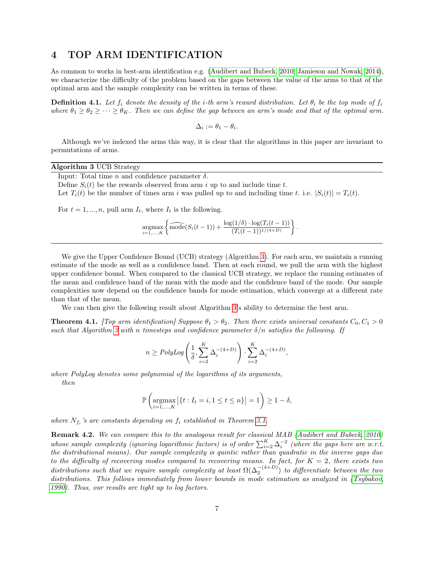## <span id="page-6-0"></span>4 TOP ARM IDENTIFICATION

As common to works in best-arm identification e.g. [\(Audibert and Bubeck, 2010;](#page-12-9) [Jamieson and Nowak, 2014\)](#page-13-17), we characterize the difficulty of the problem based on the gaps between the value of the arms to that of the optimal arm and the sample complexity can be written in terms of these.

**Definition 4.1.** Let  $f_i$  denote the density of the *i*-th arm's reward distribution. Let  $\theta_i$  be the top mode of  $f_i$ where  $\theta_1 \ge \theta_2 \ge \cdots \ge \theta_K$ . Then we can define the gap between an arm's mode and that of the optimal arm.

$$
\Delta_i := \theta_1 - \theta_i.
$$

Although we've indexed the arms this way, it is clear that the algorithms in this paper are invariant to permutations of arms.

|  | Algorithm 3 UCB Strategy |  |  |  |
|--|--------------------------|--|--|--|
|--|--------------------------|--|--|--|

<span id="page-6-1"></span>Input: Total time  $n$  and confidence parameter  $\delta$ .

Define  $S_i(t)$  be the rewards observed from arm i up to and include time t.

Let  $T_i(t)$  be the number of times arm i was pulled up to and including time t. i.e.  $|S_i(t)| = T_i(t)$ .

For  $t = 1, ..., n$ , pull arm  $I_t$ , where  $I_t$  is the following.

$$
\underset{i=1,...,K}{\text{argmax}} \left\{ \widehat{\text{mode}}(S_i(t-1)) + \frac{\log(1/\delta) \cdot \log(T_i(t-1))}{(T_i(t-1))^{1/(4+D)}} \right\}.
$$

We give the Upper Confidence Bound (UCB) strategy (Algorithm [3\)](#page-6-1). For each arm, we maintain a running estimate of the mode as well as a confidence band. Then at each round, we pull the arm with the highest upper confidence bound. When compared to the classical UCB strategy, we replace the running estimates of the mean and confidence band of the mean with the mode and the confidence band of the mode. Our sample complexities now depend on the confidence bands for mode estimation, which converge at a different rate than that of the mean.

We can then give the following result about Algorithm [3'](#page-6-1)s ability to determine the best arm.

<span id="page-6-2"></span>**Theorem 4.1.** [Top arm identification] Suppose  $\theta_1 > \theta_2$ . Then there exists universal constants  $C_0, C_1 > 0$ such that Algorithm [3](#page-6-1) with n timesteps and confidence parameter  $\delta/n$  satisfies the following. If

$$
n \geq PolyLog\left(\frac{1}{\delta},\sum_{i=2}^K\Delta_i^{-(4+D)}\right)\cdot \sum_{i=2}^K\Delta_i^{-(4+D)},
$$

where PolyLog denotes some polynomial of the logarithms of its arguments, then

$$
\mathbb{P}\left(\underset{i=1,\ldots,K}{\operatorname{argmax}}\left|\left\{t: I_t=i, 1\leq t\leq n\right\}\right|=1\right)\geq 1-\delta,
$$

where  $N_{f_i}$ 's are constants depending on  $f_i$  established in Theorem [3.1.](#page-3-3)

Remark 4.2. We can compare this to the analogous result for classical MAB [\(Audibert and Bubeck, 2010\)](#page-12-9) whose sample complexity (ignoring logarithmic factors) is of order  $\sum_{i=2}^{K} \Delta_i^{-2}$  (where the gaps here are w.r.t. the distributional means). Our sample complexity is quintic rather than quadratic in the inverse gaps due to the difficulty of recovering modes compared to recovering means. In fact, for  $K = 2$ , there exists two distributions such that we require sample complexity at least  $\Omega(\Delta_2^{-(4+D)})$  to differentiate between the two distributions. This follows immediately from lower bounds in mode estimation as analyzed in [\(Tsybakov,](#page-13-3) [1990\)](#page-13-3). Thus, our results are tight up to log factors.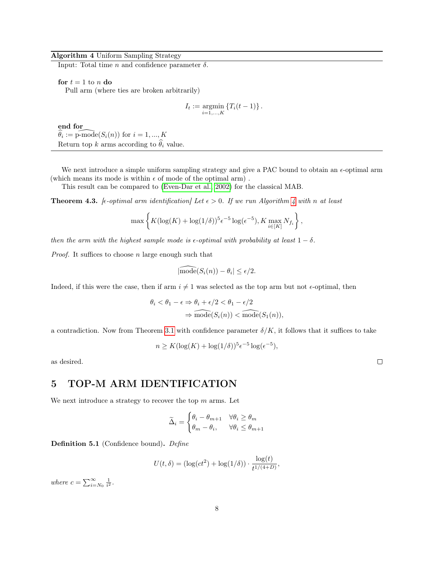#### Algorithm 4 Uniform Sampling Strategy

<span id="page-7-1"></span>Input: Total time  $n$  and confidence parameter  $\delta$ .

for  $t = 1$  to n do

Pull arm (where ties are broken arbitrarily)

$$
I_t := \underset{i=1,...,K}{\text{argmin}} \{T_i(t-1)\}.
$$

end for  $\widehat{\theta}_i := \widehat{\text{p-mode}}(S_i(n))$  for  $i = 1, ..., K$ Return top k arms according to  $\widehat{\theta}_i$  value.

We next introduce a simple uniform sampling strategy and give a PAC bound to obtain an  $\epsilon$ -optimal arm (which means its mode is within  $\epsilon$  of mode of the optimal arm).

This result can be compared to [\(Even-Dar et al., 2002\)](#page-12-10) for the classical MAB.

<span id="page-7-2"></span>**Theorem [4](#page-7-1).3.** [ $\epsilon$ -optimal arm identification] Let  $\epsilon > 0$ . If we run Algorithm 4 with n at least

$$
\max\left\{K(\log(K) + \log(1/\delta))^{5}\epsilon^{-5}\log(\epsilon^{-5}), K\max_{i\in[K]}N_{f_i}\right\},\
$$

then the arm with the highest sample mode is  $\epsilon$ -optimal with probability at least  $1 - \delta$ .

*Proof.* It suffices to choose  $n$  large enough such that

$$
|\widehat{\text{mode}}(S_i(n)) - \theta_i| \le \epsilon/2.
$$

Indeed, if this were the case, then if arm  $i \neq 1$  was selected as the top arm but not  $\epsilon$ -optimal, then

$$
\theta_i < \theta_1 - \epsilon \Rightarrow \theta_i + \epsilon/2 < \theta_1 - \epsilon/2
$$
\n
$$
\Rightarrow \text{mode}(S_i(n)) < \text{mode}(S_1(n)),
$$

a contradiction. Now from Theorem [3.1](#page-3-3) with confidence parameter  $\delta/K$ , it follows that it suffices to take

$$
n \ge K(\log(K) + \log(1/\delta))^{5} \epsilon^{-5} \log(\epsilon^{-5}),
$$

as desired.

 $\Box$ 

## <span id="page-7-0"></span>5 TOP-M ARM IDENTIFICATION

We next introduce a strategy to recover the top  $m$  arms. Let

$$
\widetilde{\Delta}_i = \begin{cases} \theta_i - \theta_{m+1} & \forall \theta_i \ge \theta_m \\ \theta_m - \theta_i, & \forall \theta_i \le \theta_{m+1} \end{cases}
$$

Definition 5.1 (Confidence bound). Define

$$
U(t,\delta) = (\log(ct^2) + \log(1/\delta)) \cdot \frac{\log(t)}{t^{1/(4+D)}},
$$

where  $c = \sum_{i=N_0}^{\infty} \frac{1}{i^2}$ .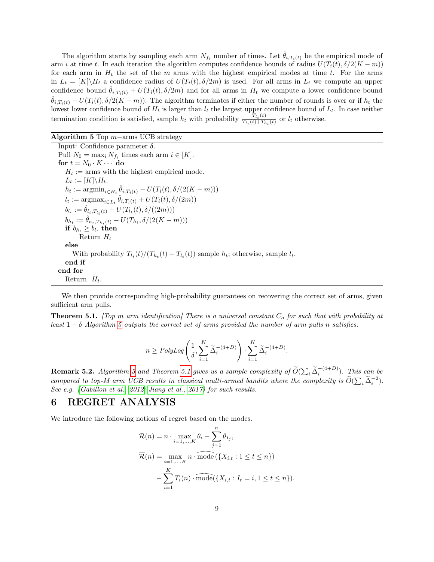The algorithm starts by sampling each arm  $N_{f_i}$  number of times. Let  $\hat{\theta}_{i,T_i(t)}$  be the empirical mode of arm i at time t. In each iteration the algorithm computes confidence bounds of radius  $U(T_i(t), \delta/2(K-m))$ for each arm in  $H_t$  the set of the m arms with the highest empirical modes at time t. For the arms in  $L_t = [K] \backslash H_t$  a confidence radius of  $U(T_i(t), \delta/2m)$  is used. For all arms in  $L_t$  we compute an upper confidence bound  $\hat{\theta}_{i,T_i(t)} + U(T_i(t), \delta/2m)$  and for all arms in  $H_t$  we compute a lower confidence bound  $\ddot{\theta}_{i,T_i(t)} - U(T_i(t), \delta/2(K-m))$ . The algorithm terminates if either the number of rounds is over or if  $h_t$  the lowest lower confidence bound of  $H_t$  is larger than  $l_t$  the largest upper confidence bound of  $L_t$ . In case neither termination condition is satisfied, sample  $h_t$  with probability  $\frac{T_{l_t}(t)}{T_{l_t}(t)+T_{l_t}}$  $\frac{I_{l_t}(t)}{T_{l_t}(t)+T_{h_t}(t)}$  or  $l_t$  otherwise.

Algorithm 5 Top  $m$ −arms UCB strategy

<span id="page-8-0"></span>Input: Confidence parameter δ. Pull  $N_0 = \max_i N_{f_i}$  times each arm  $i \in [K]$ . for  $t = N_0 \cdot K \cdots$  do  $H_t := \text{arms with the highest empirical mode.}$  $L_t := [K] \backslash H_t.$  $h_t := \mathrm{argmin}_{i \in H_t} \hat{\theta}_{i, T_i(t)} - U(T_i(t), \delta/(2(K-m)))$  $l_t := \text{argmax}_{i \in L_t} \hat{\theta}_{i, T_i(t)} + U(T_i(t), \delta/(2m))$  $b_{l_t} := \hat{\theta}_{l_t, T_{l_t}(t)} + U(T_{l_t}(t), \delta/((2m)))$  $b_{h_t} := \hat{\theta}_{h_t, T_{h_t}(t)} - U(T_{h_t}, \delta/(2(K-m)))$  $\mathbf{if}\,\, b_{h_t}\geq b_{l_t}\,\, \mathbf{then}$ Return  $H_t$ else With probability  $T_{l_t}(t)/(T_{h_t}(t) + T_{l_t}(t))$  sample  $h_t$ ; otherwise, sample  $l_t$ . end if end for Return  $H_t$ .

We then provide corresponding high-probability guarantees on recovering the correct set of arms, given sufficient arm pulls.

<span id="page-8-1"></span>**Theorem 5.1.** [Top m arm identification] There is a universal constant  $C<sub>o</sub>$  for such that with probability at least  $1 - \delta$  Algorithm [5](#page-8-0) outputs the correct set of arms provided the number of arm pulls n satisfies:

$$
n \geq PolyLog\left(\frac{1}{\delta},\sum_{i=1}^K\widetilde{\Delta}_i^{-(4+D)}\right)\cdot \sum_{i=1}^K\widetilde{\Delta}_i^{-(4+D)}.
$$

**Remark [5](#page-8-0).2.** Algorithm 5 and Theorem [5.1](#page-8-1) gives us a sample complexity of  $\widetilde{O}(\sum_i \widetilde{\Delta}_i^{-(4+D)})$ . This can be compared to top-M arm UCB results in classical multi-armed bandits where the complexity is  $\widetilde{O}(\sum_i \widetilde{\Delta}_i^{-2})$ . See e.g. [\(Gabillon et al., 2012;](#page-12-11) [Jiang et al., 2017\)](#page-13-18) for such results.

#### <span id="page-8-2"></span>6 REGRET ANALYSIS

We introduce the following notions of regret based on the modes.

$$
\mathcal{R}(n) = n \cdot \max_{i=1,\dots,K} \theta_i - \sum_{j=1}^n \theta_{I_j},
$$
  

$$
\overline{\mathcal{R}}(n) = \max_{i=1,\dots,K} n \cdot \widehat{\text{mode}} (\{X_{i,t} : 1 \le t \le n\})
$$
  

$$
- \sum_{i=1}^K T_i(n) \cdot \widehat{\text{mode}} (\{X_{i,t} : I_t = i, 1 \le t \le n\}).
$$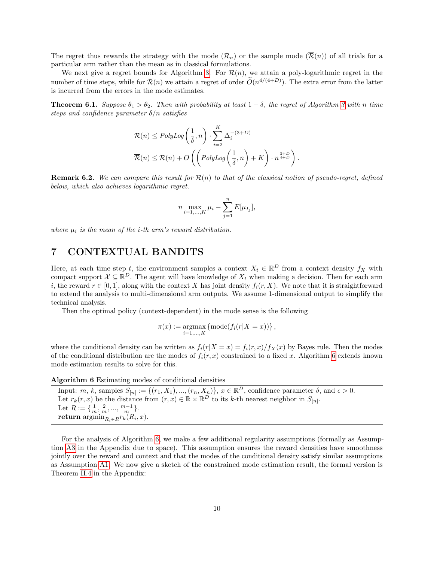The regret thus rewards the strategy with the mode  $(\mathcal{R}_n)$  or the sample mode  $(\overline{\mathcal{R}}(n))$  of all trials for a particular arm rather than the mean as in classical formulations.

We next give a regret bounds for Algorithm [3.](#page-6-1) For  $\mathcal{R}(n)$ , we attain a poly-logarithmic regret in the number of time steps, while for  $\overline{\mathcal{R}}(n)$  we attain a regret of order  $O(n^{4/(4+D)})$ . The extra error from the latter is incurred from the errors in the mode estimates.

<span id="page-9-2"></span>**Theorem 6.1.** Suppose  $\theta_1 > \theta_2$ . Then with probability at least  $1 - \delta$ , the regret of Algorithm [3](#page-6-1) with n time steps and confidence parameter  $\delta/n$  satisfies

$$
\mathcal{R}(n) \leq PolyLog\left(\frac{1}{\delta}, n\right) \cdot \sum_{i=2}^{K} \Delta_i^{-(3+D)}
$$

$$
\overline{\mathcal{R}}(n) \leq \mathcal{R}(n) + O\left(\left(PolyLog\left(\frac{1}{\delta}, n\right) + K\right) \cdot n^{\frac{3+D}{4+D}}\right).
$$

**Remark 6.2.** We can compare this result for  $\mathcal{R}(n)$  to that of the classical notion of pseudo-regret, defined below, which also achieves logarithmic regret.

$$
n \max_{i=1,\dots,K} \mu_i - \sum_{j=1}^n E[\mu_{I_j}],
$$

where  $\mu_i$  is the mean of the *i*-th arm's reward distribution.

#### <span id="page-9-0"></span>7 CONTEXTUAL BANDITS

Here, at each time step t, the environment samples a context  $X_t \in \mathbb{R}^D$  from a context density  $f_X$  with compact support  $\mathcal{X} \subseteq \mathbb{R}^D$ . The agent will have knowledge of  $X_t$  when making a decision. Then for each arm i, the reward  $r \in [0, 1]$ , along with the context X has joint density  $f_i(r, X)$ . We note that it is straightforward to extend the analysis to multi-dimensional arm outputs. We assume 1-dimensional output to simplify the technical analysis.

Then the optimal policy (context-dependent) in the mode sense is the following

$$
\pi(x):=\operatornamewithlimits{argmax}\limits_{i=1,...,K}\left\{\operatorname{mode}(f_i(r|X=x))\right\},
$$

where the conditional density can be written as  $f_i(r|X = x) = f_i(r, x)/f_X(x)$  by Bayes rule. Then the modes of the conditional distribution are the modes of  $f_i(r, x)$  constrained to a fixed x. Algorithm [6](#page-9-1) extends known mode estimation results to solve for this.

<span id="page-9-1"></span>

| Algorithm 6 Estimating modes of conditional densities                                                                                     |  |
|-------------------------------------------------------------------------------------------------------------------------------------------|--|
| Input: m, k, samples $S_{[n]} := \{(r_1, X_1), , (r_n, X_n)\}, x \in \mathbb{R}^D$ , confidence parameter $\delta$ , and $\epsilon > 0$ . |  |
| Let $r_k(r, x)$ be the distance from $(r, x) \in \mathbb{R} \times \mathbb{R}^D$ to its k-th nearest neighbor in $S_{[n]}$ .              |  |
| Let $R := \{\frac{1}{m}, \frac{2}{m}, , \frac{m-1}{m}\}.$                                                                                 |  |
| <b>return</b> $\operatorname{argmin}_{R_i \in R} r_k(R_i, x)$ .                                                                           |  |

For the analysis of Algorithm [6,](#page-9-1) we make a few additional regularity assumptions (formally as Assumption [A3](#page-22-0) in the Appendix due to space). This assumption ensures the reward densities have smoothness jointly over the reward and context and that the modes of the conditional density satisfy similar assumptions as Assumption [A1.](#page-3-2) We now give a sketch of the constrained mode estimation result, the formal version is Theorem [H.4](#page-24-0) in the Appendix: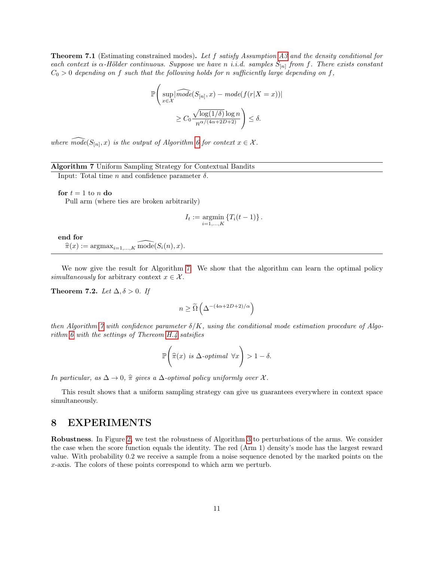**Theorem 7.1** (Estimating constrained modes). Let f satisfy Assumption [A3](#page-22-0) and the density conditional for each context is  $\alpha$ -Hölder continuous. Suppose we have n i.i.d. samples  $S_{[n]}$  from f. There exists constant  $C_0 > 0$  depending on f such that the following holds for n sufficiently large depending on f,

$$
\mathbb{P}\Bigg(\sup_{x \in \mathcal{X}} \left| \widehat{mode}(S_{[n]}, x) - mode(f(r|X=x)) \right|
$$
  
 
$$
\geq C_0 \frac{\sqrt{\log(1/\delta)} \log n}{n^{\alpha/(4\alpha + 2D + 2)}} \Bigg) \leq \delta.
$$

where  $\widehat{mode}(S_{[n]}, x)$  is the output of Algorithm [6](#page-9-1) for context  $x \in \mathcal{X}$ .

#### Algorithm 7 Uniform Sampling Strategy for Contextual Bandits

<span id="page-10-0"></span>Input: Total time  $n$  and confidence parameter  $\delta$ .

for  $t = 1$  to n do

Pull arm (where ties are broken arbitrarily)

$$
I_t := \underset{i=1,...,K}{\text{argmin}} \left\{ T_i(t-1) \right\}.
$$

end for  $\widehat{\pi}(x) := \operatorname{argmax}_{i=1,\ldots,K} \overline{\mathrm{mode}}(S_i(n), x).$ 

We now give the result for Algorithm [7.](#page-10-0) We show that the algorithm can learn the optimal policy simultaneously for arbitrary context  $x \in \mathcal{X}$ .

<span id="page-10-1"></span>Theorem 7.2. Let  $\Delta, \delta > 0$ . If

$$
n \geq \widetilde{\Omega}\left(\Delta^{-(4\alpha+2D+2)/\alpha}\right)
$$

then Algorithm [7](#page-10-0) with confidence parameter  $\delta/K$ , using the conditional mode estimation procedure of Algorithm [6](#page-9-1) with the settings of Thereom [H.4](#page-24-0) satsifies

$$
\mathbb{P}\left(\widehat{\pi}(x) \text{ is } \Delta\text{-optimal }\forall x\right) > 1 - \delta.
$$

In particular, as  $\Delta \to 0$ ,  $\hat{\pi}$  gives a  $\Delta$ -optimal policy uniformly over X.

This result shows that a uniform sampling strategy can give us guarantees everywhere in context space simultaneously.

## 8 EXPERIMENTS

Robustness. In Figure [2,](#page-11-0) we test the robustness of Algorithm [3](#page-6-1) to perturbations of the arms. We consider the case when the score function equals the identity. The red (Arm 1) density's mode has the largest reward value. With probability 0.2 we receive a sample from a noise sequence denoted by the marked points on the x-axis. The colors of these points correspond to which arm we perturb.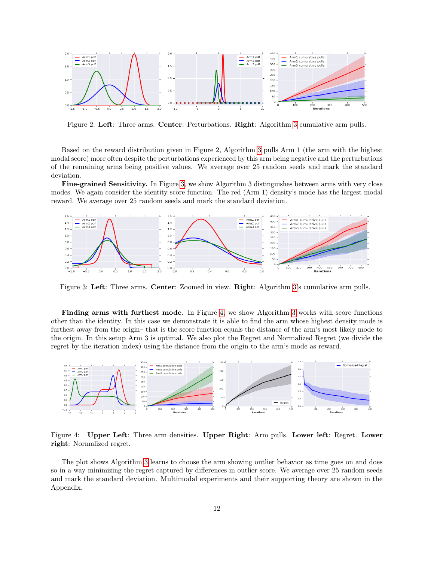

<span id="page-11-0"></span>Figure 2: Left: Three arms. Center: Perturbations. Right: Algorithm [3](#page-6-1) cumulative arm pulls.

Based on the reward distribution given in Figure 2, Algorithm [3](#page-6-1) pulls Arm 1 (the arm with the highest modal score) more often despite the perturbations experienced by this arm being negative and the perturbations of the remaining arms being positive values. We average over 25 random seeds and mark the standard deviation.

Fine-grained Sensitivity. In Figure [3,](#page-11-1) we show Algorithm 3 distinguishes between arms with very close modes. We again consider the identity score function. The red (Arm 1) density's mode has the largest modal reward. We average over 25 random seeds and mark the standard deviation.



<span id="page-11-1"></span>Figure 3: Left: Three arms. Center: Zoomed in view. Right: Algorithm [3'](#page-6-1)s cumulative arm pulls.

Finding arms with furthest mode. In Figure [4,](#page-11-2) we show Algorithm [3](#page-6-1) works with score functions other than the identity. In this case we demonstrate it is able to find the arm whose highest density mode is furthest away from the origin– that is the score function equals the distance of the arm's most likely mode to the origin. In this setup Arm 3 is optimal. We also plot the Regret and Normalized Regret (we divide the regret by the iteration index) using the distance from the origin to the arm's mode as reward.



<span id="page-11-2"></span>Figure 4: Upper Left: Three arm densities. Upper Right: Arm pulls. Lower left: Regret. Lower right: Normalized regret.

The plot shows Algorithm [3](#page-6-1) learns to choose the arm showing outlier behavior as time goes on and does so in a way minimizing the regret captured by differences in outlier score. We average over 25 random seeds and mark the standard deviation. Multimodal experiments and their supporting theory are shown in the Appendix.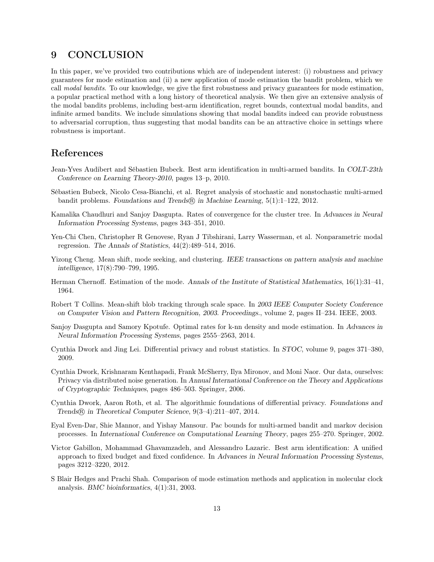## 9 CONCLUSION

In this paper, we've provided two contributions which are of independent interest: (i) robustness and privacy guarantees for mode estimation and (ii) a new application of mode estimation the bandit problem, which we call modal bandits. To our knowledge, we give the first robustness and privacy guarantees for mode estimation, a popular practical method with a long history of theoretical analysis. We then give an extensive analysis of the modal bandits problems, including best-arm identification, regret bounds, contextual modal bandits, and infinite armed bandits. We include simulations showing that modal bandits indeed can provide robustness to adversarial corruption, thus suggesting that modal bandits can be an attractive choice in settings where robustness is important.

## References

- <span id="page-12-9"></span>Jean-Yves Audibert and Sébastien Bubeck. Best arm identification in multi-armed bandits. In COLT-23th Conference on Learning Theory-2010, pages 13–p, 2010.
- <span id="page-12-12"></span>Sébastien Bubeck, Nicolo Cesa-Bianchi, et al. Regret analysis of stochastic and nonstochastic multi-armed bandit problems. Foundations and Trends $\circledR$  in Machine Learning, 5(1):1–122, 2012.
- <span id="page-12-13"></span>Kamalika Chaudhuri and Sanjoy Dasgupta. Rates of convergence for the cluster tree. In Advances in Neural Information Processing Systems, pages 343–351, 2010.
- <span id="page-12-7"></span>Yen-Chi Chen, Christopher R Genovese, Ryan J Tibshirani, Larry Wasserman, et al. Nonparametric modal regression. The Annals of Statistics, 44(2):489–514, 2016.
- <span id="page-12-2"></span>Yizong Cheng. Mean shift, mode seeking, and clustering. IEEE transactions on pattern analysis and machine intelligence, 17(8):790–799, 1995.
- <span id="page-12-0"></span>Herman Chernoff. Estimation of the mode. Annals of the Institute of Statistical Mathematics, 16(1):31–41, 1964.
- <span id="page-12-4"></span>Robert T Collins. Mean-shift blob tracking through scale space. In 2003 IEEE Computer Society Conference on Computer Vision and Pattern Recognition, 2003. Proceedings., volume 2, pages II–234. IEEE, 2003.
- <span id="page-12-1"></span>Sanjoy Dasgupta and Samory Kpotufe. Optimal rates for k-nn density and mode estimation. In Advances in Neural Information Processing Systems, pages 2555–2563, 2014.
- <span id="page-12-6"></span>Cynthia Dwork and Jing Lei. Differential privacy and robust statistics. In STOC, volume 9, pages 371–380, 2009.
- <span id="page-12-8"></span>Cynthia Dwork, Krishnaram Kenthapadi, Frank McSherry, Ilya Mironov, and Moni Naor. Our data, ourselves: Privacy via distributed noise generation. In Annual International Conference on the Theory and Applications of Cryptographic Techniques, pages 486–503. Springer, 2006.
- <span id="page-12-5"></span>Cynthia Dwork, Aaron Roth, et al. The algorithmic foundations of differential privacy. Foundations and Trends <sup>R</sup> in Theoretical Computer Science, 9(3–4):211–407, 2014.
- <span id="page-12-10"></span>Eyal Even-Dar, Shie Mannor, and Yishay Mansour. Pac bounds for multi-armed bandit and markov decision processes. In International Conference on Computational Learning Theory, pages 255–270. Springer, 2002.
- <span id="page-12-11"></span>Victor Gabillon, Mohammad Ghavamzadeh, and Alessandro Lazaric. Best arm identification: A unified approach to fixed budget and fixed confidence. In Advances in Neural Information Processing Systems, pages 3212–3220, 2012.
- <span id="page-12-3"></span>S Blair Hedges and Prachi Shah. Comparison of mode estimation methods and application in molecular clock analysis. BMC bioinformatics, 4(1):31, 2003.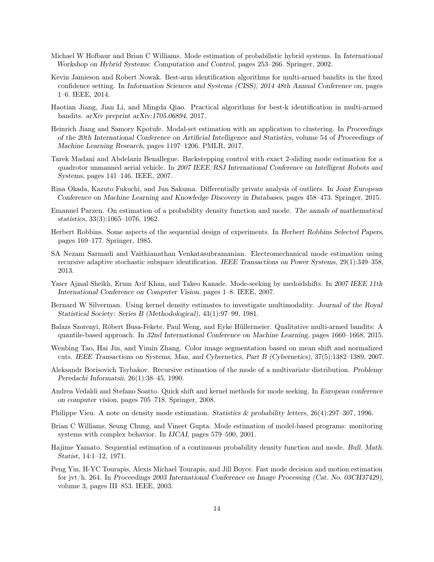- <span id="page-13-9"></span>Michael W Hofbaur and Brian C Williams. Mode estimation of probabilistic hybrid systems. In International Workshop on Hybrid Systems: Computation and Control, pages 253–266. Springer, 2002.
- <span id="page-13-17"></span>Kevin Jamieson and Robert Nowak. Best-arm identification algorithms for multi-armed bandits in the fixed confidence setting. In Information Sciences and Systems (CISS), 2014 48th Annual Conference on, pages 1–6. IEEE, 2014.
- <span id="page-13-18"></span>Haotian Jiang, Jian Li, and Mingda Qiao. Practical algorithms for best-k identification in multi-armed bandits. arXiv preprint arXiv:1705.06894, 2017.
- <span id="page-13-7"></span>Heinrich Jiang and Samory Kpotufe. Modal-set estimation with an application to clustering. In Proceedings of the 20th International Conference on Artificial Intelligence and Statistics, volume 54 of Proceedings of Machine Learning Research, pages 1197–1206. PMLR, 2017.
- <span id="page-13-8"></span>Tarek Madani and Abdelaziz Benallegue. Backstepping control with exact 2-sliding mode estimation for a quadrotor unmanned aerial vehicle. In 2007 IEEE/RSJ International Conference on Intelligent Robots and Systems, pages 141–146. IEEE, 2007.
- <span id="page-13-16"></span>Rina Okada, Kazuto Fukuchi, and Jun Sakuma. Differentially private analysis of outliers. In Joint European Conference on Machine Learning and Knowledge Discovery in Databases, pages 458–473. Springer, 2015.
- <span id="page-13-0"></span>Emanuel Parzen. On estimation of a probability density function and mode. The annals of mathematical statistics, 33(3):1065–1076, 1962.
- <span id="page-13-14"></span>Herbert Robbins. Some aspects of the sequential design of experiments. In Herbert Robbins Selected Papers, pages 169–177. Springer, 1985.
- <span id="page-13-11"></span>SA Nezam Sarmadi and Vaithianathan Venkatasubramanian. Electromechanical mode estimation using recursive adaptive stochastic subspace identification. IEEE Transactions on Power Systems, 29(1):349–358, 2013.
- <span id="page-13-5"></span>Yaser Ajmal Sheikh, Erum Arif Khan, and Takeo Kanade. Mode-seeking by medoidshifts. In 2007 IEEE 11th International Conference on Computer Vision, pages 1–8. IEEE, 2007.
- <span id="page-13-2"></span>Bernard W Silverman. Using kernel density estimates to investigate multimodality. Journal of the Royal Statistical Society: Series B (Methodological), 43(1):97–99, 1981.
- <span id="page-13-15"></span>Balazs Szorenyi, Róbert Busa-Fekete, Paul Weng, and Eyke Hüllermeier. Qualitative multi-armed bandits: A quantile-based approach. In 32nd International Conference on Machine Learning, pages 1660–1668, 2015.
- <span id="page-13-13"></span>Wenbing Tao, Hai Jin, and Yimin Zhang. Color image segmentation based on mean shift and normalized cuts. IEEE Transactions on Systems, Man, and Cybernetics, Part B (Cybernetics), 37(5):1382–1389, 2007.
- <span id="page-13-3"></span>Aleksandr Borisovich Tsybakov. Recursive estimation of the mode of a multivariate distribution. Problemy Peredachi Informatsii, 26(1):38–45, 1990.
- <span id="page-13-6"></span>Andrea Vedaldi and Stefano Soatto. Quick shift and kernel methods for mode seeking. In European conference on computer vision, pages 705–718. Springer, 2008.
- <span id="page-13-4"></span>Philippe Vieu. A note on density mode estimation. Statistics & probability letters, 26(4):297–307, 1996.
- <span id="page-13-10"></span>Brian C Williams, Seung Chung, and Vineet Gupta. Mode estimation of model-based programs: monitoring systems with complex behavior. In IJCAI, pages 579–590, 2001.
- <span id="page-13-1"></span>Hajime Yamato. Sequential estimation of a continuous probability density function and mode. Bull. Math. Statist, 14:1–12, 1971.
- <span id="page-13-12"></span>Peng Yin, H-YC Tourapis, Alexis Michael Tourapis, and Jill Boyce. Fast mode decision and motion estimation for jvt/h. 264. In Proceedings 2003 International Conference on Image Processing (Cat. No. 03CH37429), volume 3, pages III–853. IEEE, 2003.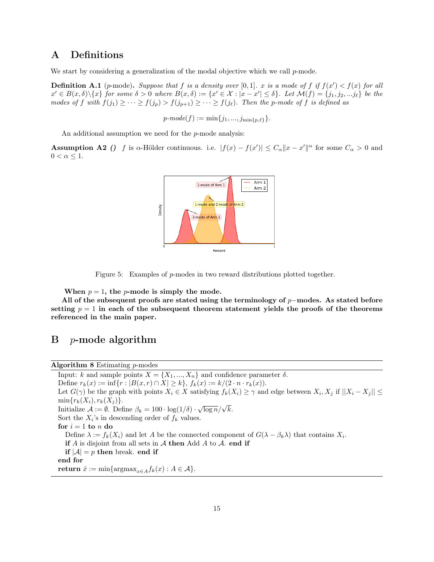## A Definitions

We start by considering a generalization of the modal objective which we call  $p$ -mode.

**Definition A.1** (p-mode). Suppose that f is a density over [0,1]. x is a mode of f if  $f(x') < f(x)$  for all  $x' \in B(x,\delta) \setminus \{x\}$  for some  $\delta > 0$  where  $B(x,\delta) := \{x' \in \mathcal{X} : |x - x'| \leq \delta\}$ . Let  $\mathcal{M}(f) = \{j_1, j_2, ... j_\ell\}$  be the modes of f with  $f(j_1) \geq \cdots \geq f(j_p) > f(j_{p+1}) \geq \cdots \geq f(j_\ell)$ . Then the p-mode of f is defined as

 $p\text{-}mode(f) := \min\{j_1, ..., j_{\min\{p,\ell\}}\}.$ 

An additional assumption we need for the *p*-mode analysis:

<span id="page-14-0"></span>**Assumption A2** () f is α-Hölder continuous. i.e.  $|f(x) - f(x')| \leq C_{\alpha} ||x - x'||^{\alpha}$  for some  $C_{\alpha} > 0$  and  $0 < \alpha \leq 1$ .



Figure 5: Examples of p-modes in two reward distributions plotted together.

When  $p = 1$ , the *p*-mode is simply the mode.

All of the subsequent proofs are stated using the terminology of  $p$ −modes. As stated before setting  $p = 1$  in each of the subsequent theorem statement yields the proofs of the theorems referenced in the main paper.

## $B$  *p*-mode algorithm

Algorithm 8 Estimating p-modes

Input: k and sample points  $X = \{X_1, ..., X_n\}$  and confidence parameter  $\delta$ . Define  $r_k(x) := \inf\{r : |B(x,r) \cap X| \ge k\}, f_k(x) := k/(2 \cdot n \cdot r_k(x)).$ Let  $G(\gamma)$  be the graph with points  $X_i \in X$  satisfying  $f_k(X_i) \geq \gamma$  and edge between  $X_i, X_j$  if  $||X_i - X_j|| \leq$  $min{r_k(X_i), r_k(X_j)}$ . Initialize  $A := \emptyset$ . Define  $\beta_k = 100 \cdot \log(1/\delta) \cdot \sqrt{\log n}/\sqrt{k}$ . Sort the  $X_i$ 's in descending order of  $f_k$  values. for  $i = 1$  to n do Define  $\lambda := f_k(X_i)$  and let A be the connected component of  $G(\lambda - \beta_k \lambda)$  that contains  $X_i$ . if A is disjoint from all sets in  $\mathcal A$  then Add A to  $\mathcal A$ . end if if  $|A| = p$  then break. end if end for return  $\hat{x} := \min\{\text{argmax}_{x \in A} f_k(x) : A \in \mathcal{A}\}.$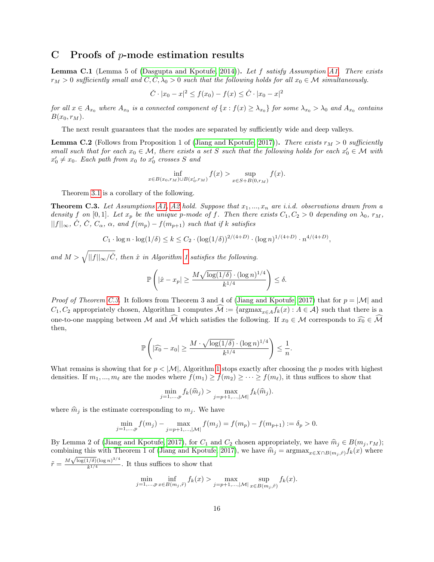## C Proofs of  $p$ -mode estimation results

**Lemma C.1** (Lemma 5 of [\(Dasgupta and Kpotufe, 2014\)](#page-12-1)). Let f satisfy Assumption [A1.](#page-3-2) There exists  $r_M > 0$  sufficiently small and  $\check{C}, \check{C}, \check{\lambda_0} > 0$  such that the following holds for all  $x_0 \in \mathcal{M}$  simultaneously.

$$
\check{C} \cdot |x_0 - x|^2 \le f(x_0) - f(x) \le \hat{C} \cdot |x_0 - x|^2
$$

for all  $x \in A_{x_0}$  where  $A_{x_0}$  is a connected component of  $\{x : f(x) \geq \lambda_{x_0}\}$  for some  $\lambda_{x_0} > \lambda_0$  and  $A_{x_0}$  contains  $B(x_0, r_M)$ .

The next result guarantees that the modes are separated by sufficiently wide and deep valleys.

**Lemma C.2** (Follows from Proposition 1 of [\(Jiang and Kpotufe, 2017\)](#page-13-7)). There exists  $r_M > 0$  sufficiently small such that for each  $x_0 \in \mathcal{M}$ , there exists a set S such that the following holds for each  $x'_0 \in \mathcal{M}$  with  $x'_0 \neq x_0$ . Each path from  $x_0$  to  $x'_0$  crosses S and

$$
\inf_{x \in B(x_0, r_M) \cup B(x'_0, r_M)} f(x) > \sup_{x \in S + B(0, r_M)} f(x).
$$

Theorem [3.1](#page-3-3) is a corollary of the following.

<span id="page-15-0"></span>**Theorem C.3.** Let Assumptions [A1,](#page-3-2) [A2](#page-14-0) hold. Suppose that  $x_1, ..., x_n$  are i.i.d. observations drawn from a density f on [0, 1]. Let  $x_p$  be the unique p-mode of f. Then there exists  $C_1, C_2 > 0$  depending on  $\lambda_0, r_M$ ,  $||f||_{\infty}, \tilde{C}, \tilde{C}, C_{\alpha}, \alpha, \text{ and } f(m_p) - f(m_{p+1}) \text{ such that if } k \text{ satisfies}$ 

$$
C_1 \cdot \log n \cdot \log(1/\delta) \le k \le C_2 \cdot (\log(1/\delta))^{2/(4+D)} \cdot (\log n)^{1/(4+D)} \cdot n^{4/(4+D)},
$$

and  $M > \sqrt{||f||_{\infty}/\tilde{C}}$ , then  $\hat{x}$  in Algorithm [1](#page-3-1) satisfies the following.

$$
\mathbb{P}\left(|\hat{x} - x_p| \ge \frac{M\sqrt{\log(1/\delta)} \cdot (\log n)^{1/4}}{k^{1/4}}\right) \le \delta.
$$

*Proof of Theorem [C.3.](#page-15-0)* It follows from Theorem 3 and 4 of [\(Jiang and Kpotufe, 2017\)](#page-13-7) that for  $p = |\mathcal{M}|$  and  $C_1, C_2$  appropriately chosen, Algorithm 1 computes  $\widehat{\mathcal{M}} := \{ \operatorname{argmax}_{x \in A} f_k(x) : A \in \mathcal{A} \}$  such that there is a one-to-one mapping between M and  $\widehat{M}$  which satisfies the following. If  $x_0 \in M$  corresponds to  $\widehat{x_0} \in \widehat{\mathcal{M}}$ then,

$$
\mathbb{P}\left(|\widehat{x_0}-x_0|\geq \frac{M\cdot\sqrt{\log(1/\delta)}\cdot(\log n)^{1/4}}{k^{1/4}}\right)\leq \frac{1}{n}.
$$

What remains is showing that for  $p < |\mathcal{M}|$ , Algorithm [1](#page-3-1) stops exactly after choosing the p modes with highest densities. If  $m_1, ..., m_\ell$  are the modes where  $f(m_1) \ge f(m_2) \ge \cdots \ge f(m_\ell)$ , it thus suffices to show that

$$
\min_{j=1,...,p} f_k(\hat{m}_j) > \max_{j=p+1,...,|\mathcal{M}|} f_k(\hat{m}_j).
$$

where  $\hat{m}_j$  is the estimate corresponding to  $m_j$ . We have

$$
\min_{j=1,...,p} f(m_j) - \max_{j=p+1,...,|\mathcal{M}|} f(m_j) = f(m_p) - f(m_{p+1}) := \delta_p > 0.
$$

By Lemma 2 of [\(Jiang and Kpotufe, 2017\)](#page-13-7), for  $C_1$  and  $C_2$  chosen appropriately, we have  $\hat{m}_j \in B(m_j, r_M);$ combining this with Theorem 1 of [\(Jiang and Kpotufe, 2017\)](#page-13-7), we have  $\hat{m}_j = \text{argmax}_{x \in X \cap B(m_i, \tilde{r})} f_k(x)$  where  $\tilde{r} = \frac{M \sqrt{\log(1/\delta)} (\log n)^{3/4}}{h^{1/4}}$  $\frac{k^{1/9}(\log n)^{1/4}}{k^{1/4}}$ . It thus suffices to show that

$$
\min_{j=1,...,p} \inf_{x \in B(m_j, \tilde{r})} f_k(x) > \max_{j=p+1,...,|\mathcal{M}|} \sup_{x \in B(m_j, \tilde{r})} f_k(x).
$$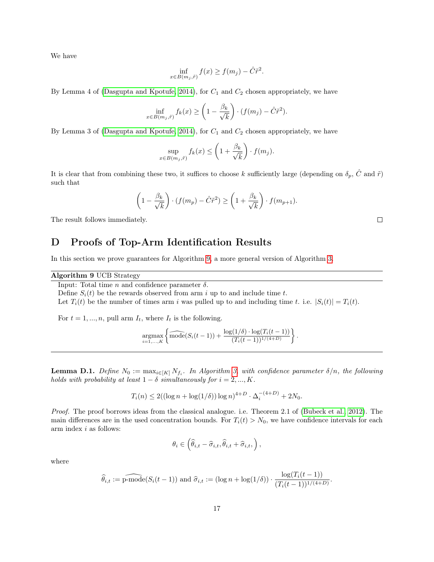We have

$$
\inf_{x \in B(m_j, \tilde{r})} f(x) \ge f(m_j) - \hat{C}\tilde{r}^2.
$$

By Lemma 4 of [\(Dasgupta and Kpotufe, 2014\)](#page-12-1), for  $C_1$  and  $C_2$  chosen appropriately, we have

$$
\inf_{x \in B(m_j, \tilde{r})} f_k(x) \ge \left(1 - \frac{\beta_k}{\sqrt{k}}\right) \cdot (f(m_j) - \hat{C}\tilde{r}^2).
$$

By Lemma 3 of [\(Dasgupta and Kpotufe, 2014\)](#page-12-1), for  $C_1$  and  $C_2$  chosen appropriately, we have

$$
\sup_{x \in B(m_j, \tilde{r})} f_k(x) \le \left(1 + \frac{\beta_k}{\sqrt{k}}\right) \cdot f(m_j).
$$

It is clear that from combining these two, it suffices to choose k sufficiently large (depending on  $\delta_p$ ,  $\hat{C}$  and  $\tilde{r}$ ) such that

$$
\left(1 - \frac{\beta_k}{\sqrt{k}}\right) \cdot (f(m_p) - \hat{C}\tilde{r}^2) \ge \left(1 + \frac{\beta_k}{\sqrt{k}}\right) \cdot f(m_{p+1}).
$$

The result follows immediately.

## D Proofs of Top-Arm Identification Results

In this section we prove guarantees for Algorithm [9,](#page-16-0) a more general version of Algorithm [3.](#page-6-1)

Algorithm 9 UCB Strategy

<span id="page-16-0"></span>Input: Total time  $n$  and confidence parameter  $\delta$ .

Define  $S_i(t)$  be the rewards observed from arm i up to and include time t.

Let  $T_i(t)$  be the number of times arm i was pulled up to and including time t. i.e.  $|S_i(t)| = T_i(t)$ .

For  $t = 1, ..., n$ , pull arm  $I_t$ , where  $I_t$  is the following.

$$
\underset{i=1,...,K}{\text{argmax}} \left\{ \widehat{\text{mode}}(S_i(t-1)) + \frac{\log(1/\delta) \cdot \log(T_i(t-1))}{(T_i(t-1))^{1/(4+D)}} \right\}
$$

.

<span id="page-16-1"></span>**Lemma D.1.** Define  $N_0 := \max_{i \in [K]} N_{f_i}$ . In Algorithm [3,](#page-6-1) with confidence parameter  $\delta/n$ , the following holds with probability at least  $1 - \delta$  simultaneously for  $i = 2, ..., K$ .

$$
T_i(n) \le 2((\log n + \log(1/\delta))\log n)^{4+D} \cdot \Delta_i^{-(4+D)} + 2N_0.
$$

Proof. The proof borrows ideas from the classical analogue. i.e. Theorem 2.1 of [\(Bubeck et al., 2012\)](#page-12-12). The main differences are in the used concentration bounds. For  $T_i(t) > N_0$ , we have confidence intervals for each arm index  $i$  as follows:

$$
\theta_i \in \left(\widehat{\theta}_{i,t} - \widehat{\sigma}_{i,t}, \widehat{\theta}_{i,t} + \widehat{\sigma}_{i,t},\right),\
$$

where

$$
\widehat{\theta}_{i,t} := \widehat{\text{p-mode}}(S_i(t-1)) \text{ and } \widehat{\sigma}_{i,t} := (\log n + \log(1/\delta)) \cdot \frac{\log(T_i(t-1))}{(T_i(t-1))^{1/(4+D)}}.
$$

17

 $\Box$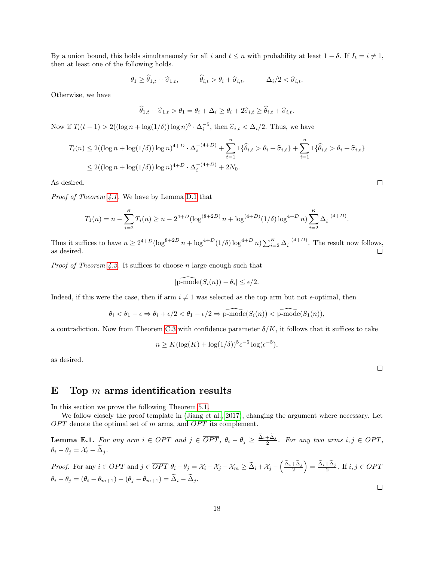By a union bound, this holds simultaneously for all i and  $t \leq n$  with probability at least  $1 - \delta$ . If  $I_t = i \neq 1$ , then at least one of the following holds.

$$
\theta_1 \ge \widehat{\theta}_{1,t} + \widehat{\sigma}_{1,t}, \qquad \widehat{\theta}_{i,t} > \theta_i + \widehat{\sigma}_{i,t}, \qquad \Delta_i/2 < \widehat{\sigma}_{i,t}.
$$

Otherwise, we have

$$
\widehat{\theta}_{1,t} + \widehat{\sigma}_{1,t} > \theta_1 = \theta_i + \Delta_i \ge \theta_i + 2\widehat{\sigma}_{i,t} \ge \widehat{\theta}_{i,t} + \widehat{\sigma}_{i,t}.
$$

Now if  $T_i(t-1) > 2((\log n + \log(1/\delta)) \log n)^5 \cdot \Delta_i^{-5}$ , then  $\hat{\sigma}_{i,t} < \Delta_i/2$ . Thus, we have

$$
T_i(n) \le 2((\log n + \log(1/\delta))\log n)^{4+D} \cdot \Delta_i^{-(4+D)} + \sum_{t=1}^n 1\{\widehat{\theta}_{i,t} > \theta_i + \widehat{\sigma}_{i,t}\} + \sum_{i=1}^n 1\{\widehat{\theta}_{i,t} > \theta_i + \widehat{\sigma}_{i,t}\}
$$
  

$$
\le 2((\log n + \log(1/\delta))\log n)^{4+D} \cdot \Delta_i^{-(4+D)} + 2N_0.
$$

As desired.

Proof of Theorem [4.1.](#page-6-2) We have by Lemma [D.1](#page-16-1) that

$$
T_1(n) = n - \sum_{i=2}^{K} T_i(n) \ge n - 2^{4+D} (\log^{(8+2D)} n + \log^{(4+D)}(1/\delta) \log^{4+D} n) \sum_{i=2}^{K} \Delta_i^{-(4+D)}.
$$

Thus it suffices to have  $n \geq 2^{4+D}(\log^{8+2D} n + \log^{4+D}(1/\delta)\log^{4+D} n) \sum_{i=2}^{K} \Delta_i^{-(4+D)}$ . The result now follows,  $\Box$ as desired.

*Proof of Theorem [4.3.](#page-7-2)* It suffices to choose n large enough such that

$$
|\widehat{\text{p-mode}}(S_i(n)) - \theta_i| \le \epsilon/2.
$$

Indeed, if this were the case, then if arm  $i \neq 1$  was selected as the top arm but not  $\epsilon$ -optimal, then

$$
\theta_i < \theta_1 - \epsilon \Rightarrow \theta_i + \epsilon/2 < \theta_1 - \epsilon/2 \Rightarrow \widehat{\text{p-mode}}(S_i(n)) < \widehat{\text{p-mode}}(S_1(n)),
$$

a contradiction. Now from Theorem [C.3](#page-15-0) with confidence parameter  $\delta/K$ , it follows that it suffices to take

$$
n \ge K(\log(K) + \log(1/\delta))^{5} \epsilon^{-5} \log(\epsilon^{-5}),
$$

as desired.

 $\Box$ 

## E Top  $m$  arms identification results

In this section we prove the following Theorem [5.1.](#page-8-1)

We follow closely the proof template in [\(Jiang et al., 2017\)](#page-13-18), changing the argument where necessary. Let  $OPT$  denote the optimal set of m arms, and  $OPT$  its complement.

<span id="page-17-0"></span>**Lemma E.1.** For any arm  $i \in OPT$  and  $j \in \overline{OPT}$ ,  $\theta_i - \theta_j \geq \frac{\Delta_i + \Delta_j}{2}$ . For any two arms  $i, j \in OPT$ ,  $\theta_i - \theta_j = \mathcal{X}_i - \widetilde{\Delta}_j.$ 

*Proof.* For any 
$$
i \in OPT
$$
 and  $j \in \overline{OPT} \ \theta_i - \theta_j = \mathcal{X}_i - \mathcal{X}_j - \mathcal{X}_m \ge \tilde{\Delta}_i + \mathcal{X}_j - \left(\frac{\tilde{\Delta}_i + \tilde{\Delta}_j}{2}\right) = \frac{\tilde{\Delta}_i + \tilde{\Delta}_j}{2}$ . If  $i, j \in OPT$   
 $\theta_i - \theta_j = (\theta_i - \theta_{m+1}) - (\theta_j - \theta_{m+1}) = \tilde{\Delta}_i - \tilde{\Delta}_j$ .

 $\Box$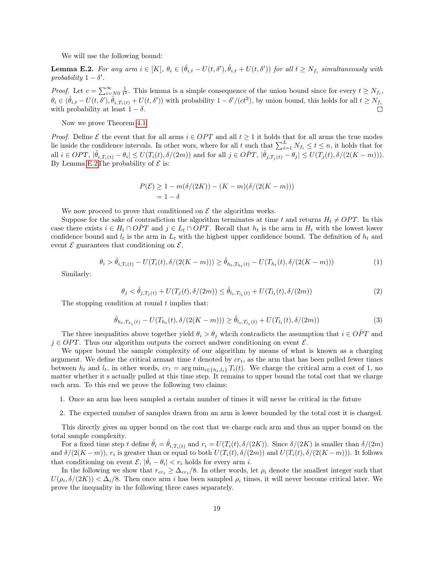We will use the following bound:

<span id="page-18-0"></span>**Lemma E.2.** For any arm  $i \in [K]$ ,  $\theta_i \in (\hat{\theta}_{i,t} - U(t, \delta'), \hat{\theta}_{i,t} + U(t, \delta'))$  for all  $t \geq N_{f_i}$  simultaneously with probability  $1 - \delta'$ .

*Proof.* Let  $c = \sum_{i=N_0}^{\infty} \frac{1}{t^2}$ . This lemma is a simple consequence of the union bound since for every  $t \ge N_{f_i}$ ,  $\theta_i \in (\hat{\theta}_{i,t} - U(t,\delta'), \hat{\theta}_{i,T_i(t)} + U(t,\delta'))$  with probability  $1 - \delta'/(ct^2)$ , by union bound, this holds for all  $t \ge N_{f_i}$ with probability at least  $1 - \delta$ .

Now we prove Theorem [4.1:](#page-6-2)

*Proof.* Define  $\mathcal E$  the event that for all arms  $i \in OPT$  and all  $t \geq 1$  it holds that for all arms the true modes lie inside the confidence intervals. In other wors, where for all t such that  $\sum_{i=1}^{L} N_{f_i} \le t \le n$ , it holds that for all  $i \in OPT$ ,  $|\hat{\theta}_{i,T_i(t)} - \theta_i| \le U(T_i(t), \delta/(2m))$  and for all  $j \in \hat{OPT}$ ,  $|\hat{\theta}_{j,T_j(t)} - \theta_j| \le U(T_j(t), \delta/(2(K-m)))$ . By Lemma [E.2T](#page-18-0)he probability of  $\mathcal E$  is:

$$
P(\mathcal{E}) \ge 1 - m(\delta/(2K)) - (K - m)(\delta/(2(K - m)))
$$
  
= 1 - \delta

We now proceed to prove that conditioned on  $\mathcal E$  the algorithm works.

Suppose for the sake of contradiction the algorithm terminates at time t and returns  $H_t \neq OPT$ . In this case there exists  $i \in H_t \cap OPT$  and  $j \in L_t \cap OPT$ . Recall that  $h_t$  is the arm in  $H_t$  with the lowest lower confidence bound and  $l_t$  is the arm in  $L_t$  with the highest upper confidence bound. The definition of  $h_t$  and event  $\mathcal E$  guarantees that conditioning on  $\mathcal E$ ,

$$
\theta_i > \hat{\theta}_{i,T_i(t)} - U(T_i(t), \delta/(2(K-m))) \ge \hat{\theta}_{h_t,T_{h_t}(t)} - U(T_{h_t}(t), \delta/(2(K-m)))
$$
\n(1)

Similarly:

$$
\theta_j < \hat{\theta}_{j,T_j(t)} + U(T_j(t), \delta/(2m)) \leq \hat{\theta}_{l_t, T_{l_t}(t)} + U(T_{l_t}(t), \delta/(2m)) \tag{2}
$$

The stopping condition at round  $t$  implies that:

$$
\hat{\theta}_{h_t, T_{h_t}(t)} - U(T_{h_t}(t), \delta/(2(K-m))) \ge \hat{\theta}_{l_t, T_{l_t}(t)} + U(T_{l_t}(t), \delta/(2m))
$$
\n(3)

The three inequalities above together yield  $\theta_i > \theta_j$  whcih contradicts the assumption that  $i \in \hat{OPT}$  and  $j \in OPT$ . Thus our algorithm outputs the correct andwer conditioning on event  $\mathcal{E}$ .

We upper bound the sample complexity of our algorithm by means of what is known as a charging argument. We define the critical armaat time t denoted by  $cr_t$ , as the arm that has been pulled fewer times between  $h_t$  and  $l_t$ , in other words,  $cr_t = \arg \min_{i \in \{h_t, l_t\}} T_i(t)$ . We charge the critical arm a cost of 1, no matter whether it s actually pulled at this time step. It remains to upper bound the total cost that we charge each arm. To this end we prove the following two claims:

- 1. Once an arm has been sampled a certain number of times it will never be critical in the future
- 2. The expected number of samples drawn from an arm is lower bounded by the total cost it is charged.

This directly gives an upper bound on the cost that we charge each arm and thus an upper bound on the total sample complexity.

For a fixed time step t define  $\hat{\theta}_i = \hat{\theta}_{i,T_i(t)}$  and  $r_i = U(T_i(t), \delta/(2K))$ . Since  $\delta/(2K)$  is smaller than  $\delta/(2m)$ and  $\delta/(2(K-m))$ ,  $r_i$  is greater than or equal to both  $U(T_i(t), \delta/(2m))$  and  $U(T_i(t), \delta/(2(K-m)))$ . It follows that conditioning on event  $\mathcal{E}, |\hat{\theta}_i - \theta_i| < r_i$  holds for every arm *i*.

In the following we show that  $r_{cr_t} \geq \Delta_{cr_t}/8$ . In other words, let  $\rho_i$  denote the smallest integer such that  $U(\rho_i, \delta/(2K)) < \Delta_i/8$ . Then once arm i has been sampled  $\rho_i$  times, it will never become critical later. We prove the inequality in the following three cases separately.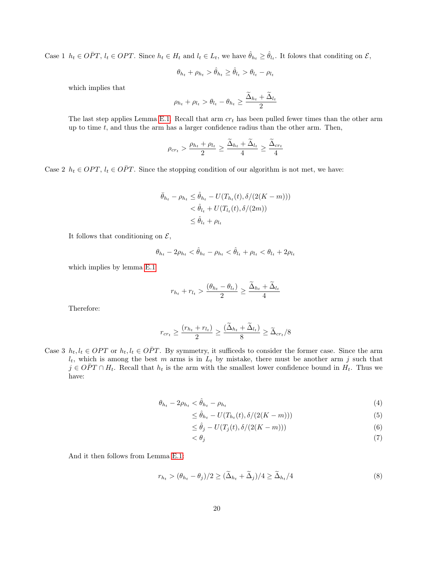Case 1  $h_t \in \overline{OPT}$ ,  $l_t \in OPT$ . Since  $h_t \in H_t$  and  $l_t \in L_t$ , we have  $\hat{\theta}_{h_t} \geq \hat{\theta}_{l_t}$ . It folows that conditing on  $\mathcal{E}$ ,

$$
\theta_{h_t} + \rho_{h_t} > \hat{\theta}_{h_t} \geq \hat{\theta}_{l_t} > \theta_{l_t} - \rho_{l_t}
$$

which implies that

$$
\rho_{h_t} + \rho_{l_t} > \theta_{l_t} - \theta_{h_t} \ge \frac{\tilde{\Delta}_{h_t} + \tilde{\Delta}_{l_t}}{2}
$$

The last step applies Lemma [E.1.](#page-17-0) Recall that arm  $cr_t$  has been pulled fewer times than the other arm up to time  $t$ , and thus the arm has a larger confidence radius than the other arm. Then,

$$
\rho_{cr_t} > \frac{\rho_{h_t} + \rho_{l_t}}{2} \ge \frac{\tilde{\Delta}_{h_t} + \tilde{\Delta}_{l_t}}{4} \ge \frac{\tilde{\Delta}_{cr_t}}{4}
$$

Case 2  $h_t \in OPT$ ,  $l_t \in \overline{OPT}$ . Since the stopping condition of our algorithm is not met, we have:

$$
\bar{\theta}_{h_t} - \rho_{h_t} \leq \hat{\theta}_{h_t} - U(T_{h_t}(t), \delta/(2(K - m)))
$$
  

$$
< \hat{\theta}_{l_t} + U(T_{l_t}(t), \delta/(2m))
$$
  

$$
\leq \hat{\theta}_{l_t} + \rho_{l_t}
$$

It follows that conditioning on  $\mathcal{E}$ ,

$$
\theta_{h_t}-2\rho_{h_t}<\hat{\theta}_{h_t}-\rho_{h_t}<\hat{\theta}_{l_t}+\rho_{l_t}<\theta_{l_t}+2\rho_{l_t}
$$

which implies by lemma [E.1](#page-17-0)

$$
r_{h_t} + r_{l_t} > \frac{(\theta_{h_t} - \theta_{l_t})}{2} \ge \frac{\tilde{\Delta}_{h_t} + \tilde{\Delta}_{l_t}}{4}
$$

Therefore:

$$
r_{cr_t} \geq \frac{(r_{h_t} + r_{l_t})}{2} \geq \frac{(\widetilde{\Delta}_{h_t} + \widetilde{\Delta}_{l_t})}{8} \geq \widetilde{\Delta}_{cr_t}/8
$$

Case 3  $h_t, l_t \in OPT$  or  $h_t, l_t \in \overline{OPT}$ . By symmetry, it sufficeds to consider the former case. Since the arm  $l_t$ , which is among the best m arms is in  $L_t$  by mistake, there must be another arm j such that  $j \in \overline{OPT} \cap H_t$ . Recall that  $h_t$  is the arm with the smallest lower confidence bound in  $H_t$ . Thus we have:

$$
\theta_{h_t} - 2\rho_{h_t} < \hat{\theta}_{h_t} - \rho_{h_t} \tag{4}
$$

$$
\leq \hat{\theta}_{h_t} - U(T_{h_t}(t), \delta/(2(K-m)))\tag{5}
$$

$$
\leq \hat{\theta}_j - U(T_j(t), \delta/(2(K-m)))\tag{6}
$$

$$
\langle \theta_j \rangle \tag{7}
$$

<span id="page-19-0"></span>And it then follows from Lemma [E.1:](#page-17-0)

$$
r_{h_t} > (\theta_{h_t} - \theta_j)/2 \ge (\widetilde{\Delta}_{h_t} + \widetilde{\Delta}_j)/4 \ge \widetilde{\Delta}_{h_t}/4
$$
\n(8)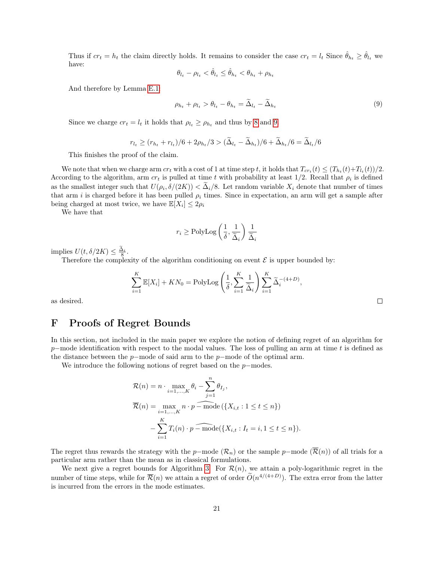Thus if  $cr_t = h_t$  the claim directly holds. It remains to consider the case  $cr_t = l_t$  Since  $\hat{\theta}_{h_t} \geq \hat{\theta}_{l_t}$  we have:

<span id="page-20-0"></span>
$$
\theta_{l_t} - \rho_{l_t} < \hat{\theta}_{l_t} \le \hat{\theta}_{h_t} < \theta_{h_t} + \rho_{h_t}
$$

And therefore by Lemma [E.1:](#page-17-0)

$$
\rho_{h_t} + \rho_{l_t} > \theta_{l_t} - \theta_{h_t} = \tilde{\Delta}_{l_t} - \tilde{\Delta}_{h_t}
$$
\n
$$
(9)
$$

Since we charge  $cr_t = l_t$  it holds that  $\rho_{l_t} \ge \rho_{h_t}$  and thus by [8](#page-19-0) and [9.](#page-20-0)

$$
r_{l_t} \ge (r_{h_t} + r_{l_t})/6 + 2\rho_{h_t}/3 > (\widetilde{\Delta}_{l_t} - \widetilde{\Delta}_{h_t})/6 + \widetilde{\Delta}_{h_t}/6 = \widetilde{\Delta}_{l_t}/6
$$

This finishes the proof of the claim.

We note that when we charge arm  $cr_t$  with a cost of 1 at time step t, it holds that  $T_{cr_t}(t) \leq (T_{h_t}(t) + T_{l_t}(t))/2$ . According to the algorithm, arm  $cr_t$  is pulled at time t with probability at least 1/2. Recall that  $\rho_i$  is defined as the smallest integer such that  $U(\rho_i, \delta/(2K)) < \Delta_i/8$ . Let random variable  $X_i$  denote that number of times that arm i is charged before it has been pulled  $\rho_i$  times. Since in expectation, an arm will get a sample after being charged at most twice, we have  $\mathbb{E}[X_i] \leq 2\rho_i$ 

We have that

$$
r_i \ge \text{PolyLog}\left(\frac{1}{\delta}, \frac{1}{\widetilde{\Delta}_i}\right) \frac{1}{\widetilde{\Delta}_i}
$$

implies  $U(t, \delta/2K) \leq \frac{\Delta_i}{8}$ .

Therefore the complexity of the algorithm conditioning on event  $\mathcal E$  is upper bounded by:

$$
\sum_{i=1}^{K} \mathbb{E}[X_i] + KN_0 = \text{PolyLog}\left(\frac{1}{\delta}, \sum_{i=1}^{K} \frac{1}{\tilde{\Delta}_i}\right) \sum_{i=1}^{K} \tilde{\Delta}_i^{-(4+D)},
$$

as desired.

## F Proofs of Regret Bounds

In this section, not included in the main paper we explore the notion of defining regret of an algorithm for p–mode identification with respect to the modal values. The loss of pulling an arm at time t is defined as the distance between the  $p$ −mode of said arm to the  $p$ −mode of the optimal arm.

We introduce the following notions of regret based on the p−modes.

$$
\mathcal{R}(n) = n \cdot \max_{i=1,\dots,K} \theta_i - \sum_{j=1}^n \theta_{I_j},
$$
  

$$
\overline{\mathcal{R}}(n) = \max_{i=1,\dots,K} n \cdot p - \text{mode}(\{X_{i,t} : 1 \le t \le n\})
$$
  

$$
-\sum_{i=1}^K T_i(n) \cdot p - \text{mode}(\{X_{i,t} : I_t = i, 1 \le t \le n\}).
$$

The regret thus rewards the strategy with the p−mode  $(\mathcal{R}_n)$  or the sample p−mode  $(\overline{\mathcal{R}}(n))$  of all trials for a particular arm rather than the mean as in classical formulations.

We next give a regret bounds for Algorithm [3.](#page-6-1) For  $\mathcal{R}(n)$ , we attain a poly-logarithmic regret in the number of time steps, while for  $\overline{\mathcal{R}}(n)$  we attain a regret of order  $\widetilde{O}(n^{4/(4+D)})$ . The extra error from the latter is incurred from the errors in the mode estimates.

 $\Box$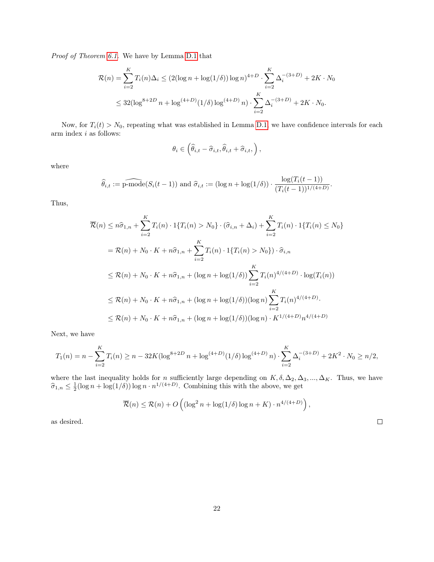Proof of Theorem [6.1.](#page-9-2) We have by Lemma [D.1](#page-16-1) that

$$
\mathcal{R}(n) = \sum_{i=2}^{K} T_i(n) \Delta_i \le (2(\log n + \log(1/\delta)) \log n)^{4+D} \cdot \sum_{i=2}^{K} \Delta_i^{-(3+D)} + 2K \cdot N_0
$$
  

$$
\le 32(\log^{8+2D} n + \log^{(4+D)}(1/\delta) \log^{(4+D)} n) \cdot \sum_{i=2}^{K} \Delta_i^{-(3+D)} + 2K \cdot N_0.
$$

Now, for  $T_i(t) > N_0$ , repeating what was established in Lemma [D.1,](#page-16-1) we have confidence intervals for each arm index  $i$  as follows:

$$
\theta_i \in \left( \widehat{\theta}_{i,t} - \widehat{\sigma}_{i,t}, \widehat{\theta}_{i,t} + \widehat{\sigma}_{i,t}, \right),\
$$

where

$$
\widehat{\theta}_{i,t} := \widehat{\text{p-mode}}(S_i(t-1)) \text{ and } \widehat{\sigma}_{i,t} := (\log n + \log(1/\delta)) \cdot \frac{\log(T_i(t-1))}{(T_i(t-1))^{1/(4+D)}}.
$$

Thus,

$$
\overline{\mathcal{R}}(n) \leq n\hat{\sigma}_{1,n} + \sum_{i=2}^{K} T_i(n) \cdot 1\{T_i(n) > N_0\} \cdot (\hat{\sigma}_{i,n} + \Delta_i) + \sum_{i=2}^{K} T_i(n) \cdot 1\{T_i(n) \leq N_0\}
$$
\n
$$
= \mathcal{R}(n) + N_0 \cdot K + n\hat{\sigma}_{1,n} + \sum_{i=2}^{K} T_i(n) \cdot 1\{T_i(n) > N_0\} \cdot \hat{\sigma}_{i,n}
$$
\n
$$
\leq \mathcal{R}(n) + N_0 \cdot K + n\hat{\sigma}_{1,n} + (\log n + \log(1/\delta)) \sum_{i=2}^{K} T_i(n)^{4/(4+D)} \cdot \log(T_i(n))
$$
\n
$$
\leq \mathcal{R}(n) + N_0 \cdot K + n\hat{\sigma}_{1,n} + (\log n + \log(1/\delta))(\log n) \sum_{i=2}^{K} T_i(n)^{4/(4+D)}.
$$
\n
$$
\leq \mathcal{R}(n) + N_0 \cdot K + n\hat{\sigma}_{1,n} + (\log n + \log(1/\delta))(\log n) \cdot K^{1/(4+D)} n^{4/(4+D)}
$$

Next, we have

$$
T_1(n) = n - \sum_{i=2}^{K} T_i(n) \ge n - 32K(\log^{8+2D} n) + \log^{(4+D)}(1/\delta) \log^{(4+D)}(1/\delta) \cdot \sum_{i=2}^{K} \Delta_i^{-(3+D)} + 2K^2 \cdot N_0 \ge n/2,
$$

where the last inequality holds for n sufficiently large depending on  $K, \delta, \Delta_2, \Delta_3, ..., \Delta_K$ . Thus, we have  $\hat{\sigma}_{1,n} \leq \frac{1}{2} (\log n + \log(1/\delta)) \log n \cdot n^{1/(4+D)}$ . Combining this with the above, we get

$$
\overline{\mathcal{R}}(n) \le \mathcal{R}(n) + O\left((\log^2 n + \log(1/\delta) \log n + K) \cdot n^{4/(4+D)}\right),\right)
$$

as desired.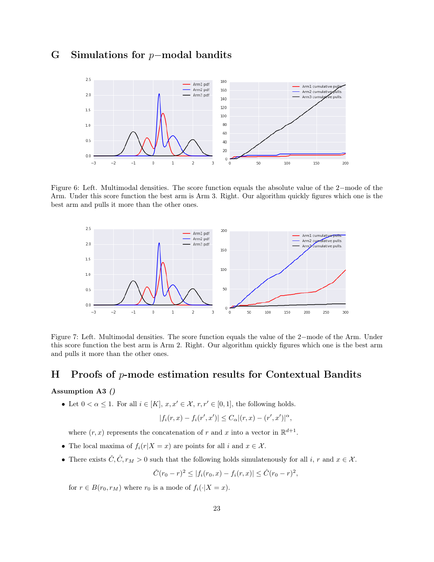## G Simulations for p−modal bandits



Figure 6: Left. Multimodal densities. The score function equals the absolute value of the 2−mode of the Arm. Under this score function the best arm is Arm 3. Right. Our algorithm quickly figures which one is the best arm and pulls it more than the other ones.



Figure 7: Left. Multimodal densities. The score function equals the value of the 2−mode of the Arm. Under this score function the best arm is Arm 2. Right. Our algorithm quickly figures which one is the best arm and pulls it more than the other ones.

#### H Proofs of p-mode estimation results for Contextual Bandits

#### <span id="page-22-0"></span>Assumption A3 ()

• Let  $0 < \alpha \leq 1$ . For all  $i \in [K], x, x' \in \mathcal{X}, r, r' \in [0, 1]$ , the following holds.

$$
|f_i(r, x) - f_i(r', x')| \le C_\alpha |(r, x) - (r', x')|^\alpha,
$$

where  $(r, x)$  represents the concatenation of r and x into a vector in  $\mathbb{R}^{d+1}$ .

- The local maxima of  $f_i(r|X=x)$  are points for all i and  $x \in \mathcal{X}$ .
- There exists  $\check{C}, \hat{C}, r_M > 0$  such that the following holds simulatenously for all  $i, r$  and  $x \in \mathcal{X}$ .

$$
\check{C}(r_0-r)^2 \le |f_i(r_0,x) - f_i(r,x)| \le \hat{C}(r_0-r)^2,
$$

for  $r \in B(r_0, r_M)$  where  $r_0$  is a mode of  $f_i(\cdot | X = x)$ .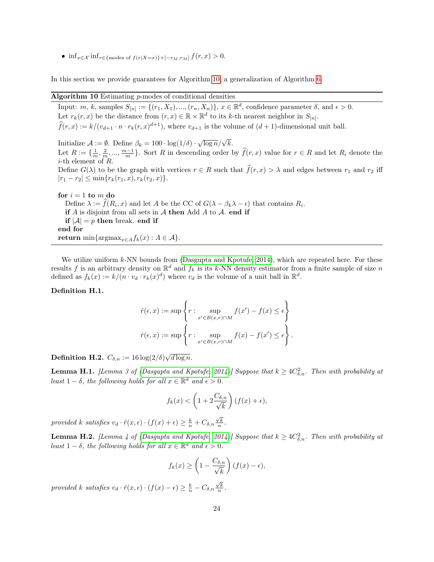• inf<sub> $x \in \mathcal{X}$ </sub> inf<sub>r∈{modes</sub> of  $f(r|X=x)$ }+[ $-r_M,r_M$ ]  $f(r, x) > 0$ .

In this section we provide guarantees for Algorithm [10,](#page-23-0) a generalization of Algorithm [6.](#page-9-1)

#### Algorithm 10 Estimating  $p$ -modes of conditional densities

<span id="page-23-0"></span>Input: m, k, samples  $S_{[n]} := \{(r_1, X_1), ..., (r_n, X_n)\}, x \in \mathbb{R}^d$ , confidence parameter  $\delta$ , and  $\epsilon > 0$ . Let  $r_k(r, x)$  be the distance from  $(r, x) \in \mathbb{R} \times \mathbb{R}^d$  to its k-th nearest neighbor in  $S_{[n]}$ .  $f(r, x) := k/(v_{d+1} \cdot n \cdot r_k(r, x)^{d+1}),$  where  $v_{d+1}$  is the volume of  $(d+1)$ -dimensional unit ball. Initialize  $\mathcal{A} := \emptyset$ . Define  $\beta_k = 100 \cdot \log(1/\delta) \cdot \sqrt{\log n}/\sqrt{k}$ . Let  $R := \{\frac{1}{m}, \frac{2}{m}, ..., \frac{m-1}{m}\}$ . Sort R in descending order by  $\widehat{f}(r, x)$  value for  $r \in R$  and let  $R_i$  denote the *i*-th element of R. Define  $G(\lambda)$  to be the graph with vertices  $r \in R$  such that  $\hat{f}(r, x) > \lambda$  and edges between  $r_1$  and  $r_2$  iff  $|r_1 - r_2| \leq \min\{r_k(r_1, x), r_k(r_2, x)\}.$ for  $i = 1$  to m do Define  $\lambda := f(R_i, x)$  and let A be the CC of  $G(\lambda - \beta_k \lambda - \epsilon)$  that contains  $R_i$ .

if  $A$  is disjoint from all sets in  $A$  then Add  $A$  to  $A$ . end if if  $|A| = p$  then break. end if end for return min{argmax<sub>x∈A</sub> $f_k(x)$  :  $A \in \mathcal{A}$ .

We utilize uniform  $k$ -NN bounds from [\(Dasgupta and Kpotufe, 2014\)](#page-12-1), which are repeated here. For these results f is an arbitrary density on  $\mathbb{R}^d$  and  $f_k$  is its k-NN density estimator from a finite sample of size n defined as  $f_k(x) := k/(n \cdot v_d \cdot r_k(x)^d)$  where  $v_d$  is the volume of a unit ball in  $\mathbb{R}^d$ .

#### Definition H.1.

$$
\hat{r}(\epsilon, x) := \sup \left\{ r : \sup_{x' \in B(x, r) \cap M} f(x') - f(x) \le \epsilon \right\}
$$

$$
\check{r}(\epsilon, x) := \sup \left\{ r : \sup_{x' \in B(x, r) \cap M} f(x) - f(x') \le \epsilon \right\}.
$$

Definition H.2.  $C_{\delta,n} := 16 \log(2/\delta) \sqrt{d \log n}$ .

<span id="page-23-1"></span>**Lemma H.1.** [Lemma 3 of [\(Dasgupta and Kpotufe, 2014\)](#page-12-1)] Suppose that  $k \geq 4C_{\delta,n}^2$ . Then with probability at least  $1 - \delta$ , the following holds for all  $x \in \mathbb{R}^d$  and  $\epsilon > 0$ .

$$
f_k(x) < \left(1 + 2\frac{C_{\delta,n}}{\sqrt{k}}\right)(f(x) + \epsilon),
$$

provided k satisfies  $v_d \cdot \hat{r}(x, \epsilon) \cdot (f(x) + \epsilon) \ge \frac{k}{n} + C_{\delta, n} \frac{\sqrt{k}}{n}$ .

<span id="page-23-2"></span>**Lemma H.2.** [Lemma 4 of [\(Dasgupta and Kpotufe, 2014\)](#page-12-1)] Suppose that  $k \geq 4C_{\delta,n}^2$ . Then with probability at least  $1 - \delta$ , the following holds for all  $x \in \mathbb{R}^d$  and  $\epsilon > 0$ .

$$
f_k(x) \ge \left(1 - \frac{C_{\delta,n}}{\sqrt{k}}\right) (f(x) - \epsilon),
$$

provided k satisfies  $v_d \cdot \check{r}(x, \epsilon) \cdot (f(x) - \epsilon) \ge \frac{k}{n} - C_{\delta, n} \frac{\sqrt{k}}{n}.$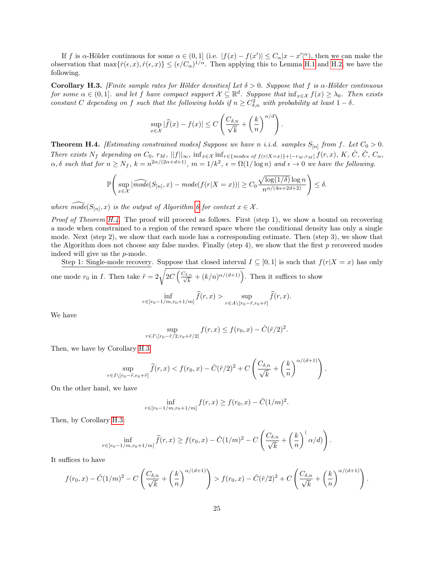If f is  $\alpha$ -Hölder continuous for some  $\alpha \in (0,1]$  (i.e.  $|f(x) - f(x')| \leq C_{\alpha}|x - x'|^{\alpha}$ ), then we can make the observation that  $\max\{\tilde{r}(\epsilon,x),\hat{r}(\epsilon,x)\}\leq (\epsilon/C_\alpha)^{1/\alpha}$ . Then applying this to Lemma [H.1](#page-23-1) and [H.2,](#page-23-2) we have the following.

<span id="page-24-1"></span>Corollary H.3. [Finite sample rates for Hölder densities] Let  $\delta > 0$ . Suppose that f is  $\alpha$ -Hölder continuous for some  $\alpha \in (0,1]$ . and let f have compact support  $\mathcal{X} \subseteq \mathbb{R}^d$ . Suppose that  $\inf_{x \in \mathcal{X}} f(x) \geq \lambda_0$ . Then exists constant C depending on f such that the following holds if  $n \geq C_{\delta,n}^2$  with probability at least  $1-\delta$ .

$$
\sup_{x \in \mathcal{X}} |\widehat{f}(x) - f(x)| \le C \left( \frac{C_{\delta,n}}{\sqrt{k}} + \left( \frac{k}{n} \right)^{\alpha/d} \right).
$$

<span id="page-24-0"></span>**Theorem H.4.** [Estimating constrained modes] Suppose we have n i.i.d. samples  $S_{[n]}$  from f. Let  $C_0 > 0$ . There exists  $N_f$  depending on  $C_0$ ,  $r_M$ ,  $||f||_{\infty}$ ,  $\inf_{x \in \mathcal{X}} \inf_{r \in \{modes\ of\ f(r|X=x)\}+[-r_M,r_M]\ f(r,x)$ ,  $K$ ,  $\hat{C}$ ,  $\check{C}$ ,  $C_{\alpha}$ ,  $\alpha, \delta$  such that for  $n \ge N_f$ ,  $k = n^{2\alpha/(2\alpha + d + 1)}$ ,  $m = 1/k^2$ ,  $\epsilon = \Omega(1/\log n)$  and  $\epsilon \to 0$  we have the following.

$$
\mathbb{P}\Bigg(\sup_{x\in\mathcal{X}}|\widehat{mode}(S_{[n]},x)-mode(f(r|X=x))|\geq C_0\frac{\sqrt{\log(1/\delta)}\log n}{n^{\alpha/(4\alpha+2d+2)}}\Bigg)\leq \delta.
$$

where  $\widehat{mode}(S_{[n]}, x)$  is the output of Algorithm [6](#page-9-1) for context  $x \in \mathcal{X}$ .

*Proof of Theorem [H.4.](#page-24-0)* The proof will proceed as follows. First (step 1), we show a bound on recovering a mode when constrained to a region of the reward space where the conditional density has only a single mode. Next (step 2), we show that each mode has a corresponding estimate. Then (step 3), we show that the Algorithm does not choose any false modes. Finally (step 4), we show that the first  $p$  recovered modes indeed will give us the p-mode.

Step 1: Single-mode recovery. Suppose that closed interval  $I \subseteq [0,1]$  is such that  $f(r|X = x)$  has only one mode  $r_0$  in I. Then take  $\tilde{r} = 2\sqrt{2C\left(\frac{C_{\delta,n}}{\sqrt{k}} + (k/n)^{\alpha/(d+1)}\right)}$ . Then it suffices to show

$$
\inf_{r \in [r_0 - 1/m, r_0 + 1/m]} \widehat{f}(r, x) > \sup_{r \in A \setminus [r_0 - \tilde{r}, r_0 + \tilde{r}]} \widehat{f}(r, x).
$$

We have

$$
\sup_{r \in I \setminus [r_0 - \tilde{r}/2, r_0 + \tilde{r}/2]} f(r, x) \le f(r_0, x) - \check{C}(\tilde{r}/2)^2.
$$

Then, we have by Corollary [H.3:](#page-24-1)

$$
\sup_{r \in I \setminus [r_0 - \tilde{r}, r_0 + \tilde{r}]} \widehat{f}(r, x) < f(r_0, x) - \check{C}(\tilde{r}/2)^2 + C \left( \frac{C_{\delta, n}}{\sqrt{k}} + \left( \frac{k}{n} \right)^{\alpha/(d+1)} \right).
$$

On the other hand, we have

$$
\inf_{r \in [r_0 - 1/m, r_0 + 1/m]} f(r, x) \ge f(r_0, x) - \hat{C}(1/m)^2.
$$

Then, by Corollary [H.3:](#page-24-1)

$$
\inf_{r \in [r_0 - 1/m, r_0 + 1/m]} \hat{f}(r, x) \ge f(r_0, x) - \hat{C}(1/m)^2 - C\left(\frac{C_{\delta, n}}{\sqrt{k}} + \left(\frac{k}{n}\right)^{(\alpha/d)}\right).
$$

It suffices to have

$$
f(r_0,x) - \tilde{C}(1/m)^2 - C\left(\frac{C_{\delta,n}}{\sqrt{k}} + \left(\frac{k}{n}\right)^{\alpha/(d+1)}\right) > f(r_0,x) - \tilde{C}(\tilde{r}/2)^2 + C\left(\frac{C_{\delta,n}}{\sqrt{k}} + \left(\frac{k}{n}\right)^{\alpha/(d+1)}\right).
$$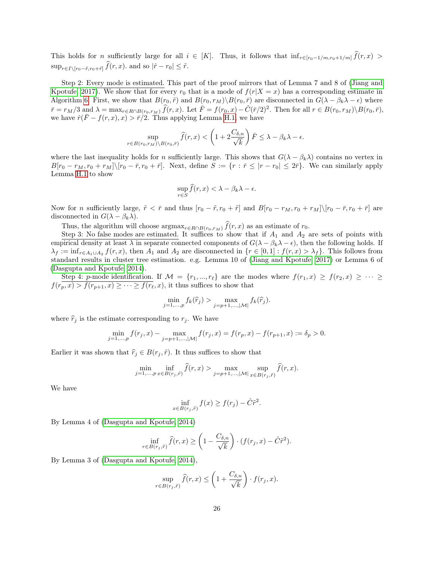This holds for n sufficiently large for all  $i \in [K]$ . Thus, it follows that  $\inf_{r \in [r_0-1/m, r_0+1/m]} \widehat{f}(r, x) >$  $\sup_{r \in I \setminus [r_0 - \tilde{r}, r_0 + \tilde{r}]} f(r, x)$ . and so  $|\hat{r} - r_0| \leq \tilde{r}$ .

Step 2: Every mode is estimated. This part of the proof mirrors that of Lemma 7 and 8 of [\(Jiang and](#page-13-7) [Kpotufe, 2017\)](#page-13-7). We show that for every  $r_0$  that is a mode of  $f(r|X=x)$  has a corresponding estimate in Algorithm [6.](#page-9-1) First, we show that  $B(r_0, \tilde{r})$  and  $B(r_0, r_M)\setminus B(r_0, \bar{r})$  are disconnected in  $G(\lambda - \beta_k \lambda - \epsilon)$  where  $\bar{r} = r_M/3$  and  $\lambda = \max_{r \in R \cap B(r_0, r_M)} \hat{f}(r, x)$ . Let  $\bar{F} = f(r_0, x) - \check{C}(\bar{r}/2)^2$ . Then for all  $r \in B(r_0, r_M) \setminus B(r_0, \bar{r})$ , we have  $\hat{r}(\bar{F}-f(r,x),x) > \bar{r}/2$ . Thus applying Lemma [H.1,](#page-23-1) we have

$$
\sup_{r \in B(r_0, r_M) \backslash B(r_0, \bar{r})} \hat{f}(r, x) < \left(1 + 2\frac{C_{\delta, n}}{\sqrt{k}}\right) \bar{F} \le \lambda - \beta_k \lambda - \epsilon.
$$

where the last inequality holds for n sufficiently large. This shows that  $G(\lambda - \beta_k \lambda)$  contains no vertex in  $B[r_0 - r_M, r_0 + r_M] \setminus [r_0 - \bar{r}, r_0 + \bar{r}]$ . Next, define  $S := \{r : \bar{r} \leq |r - r_0| \leq 2\bar{r}\}$ . We can similarly apply Lemma [H.1](#page-23-1) to show

$$
\sup_{r \in S} \hat{f}(r, x) < \lambda - \beta_k \lambda - \epsilon.
$$

Now for n sufficiently large,  $\tilde{r} < \bar{r}$  and thus  $[r_0 - \tilde{r}, r_0 + \tilde{r}]$  and  $B[r_0 - r_M, r_0 + r_M]\setminus [r_0 - \bar{r}, r_0 + \bar{r}]$  are disconnected in  $G(\lambda - \beta_k \lambda)$ .

Thus, the algorithm will choose  $\arg\max_{r \in R \cap B(r_0, r_M)} \hat{f}(r, x)$  as an estimate of  $r_0$ .

Step 3: No false modes are estimated. It suffices to show that if  $A_1$  and  $A_2$  are sets of points with empirical density at least  $\lambda$  in separate connected components of  $G(\lambda - \beta_k \lambda - \epsilon)$ , then the following holds. If  $\lambda_f := \inf_{r \in A_1 \cup A_2} f(r, x)$ , then  $A_1$  and  $A_2$  are disconnected in  $\{r \in [0, 1] : f(r, x) > \lambda_f\}$ . This follows from standard results in cluster tree estimation. e.g. Lemma 10 of [\(Jiang and Kpotufe, 2017\)](#page-13-7) or Lemma 6 of [\(Dasgupta and Kpotufe, 2014\)](#page-12-1).

Step 4: p-mode identification. If  $\mathcal{M} = \{r_1, ..., r_\ell\}$  are the modes where  $f(r_1, x) \ge f(r_2, x) \ge \cdots \ge$  $f(r_p, x) > f(r_{p+1}, x) \geq \cdots \geq f(r_\ell, x)$ , it thus suffices to show that

$$
\min_{j=1,\dots,p} f_k(\widehat{r}_j) > \max_{j=p+1,\dots,|\mathcal{M}|} f_k(\widehat{r}_j).
$$

where  $\hat{r}_j$  is the estimate corresponding to  $r_j$ . We have

$$
\min_{j=1,\dots,p} f(r_j, x) - \max_{j=p+1,\dots,|\mathcal{M}|} f(r_j, x) = f(r_p, x) - f(r_{p+1}, x) := \delta_p > 0.
$$

Earlier it was shown that  $\hat{r}_j \in B(r_j, \tilde{r})$ . It thus suffices to show that

$$
\min_{j=1,\ldots,p} \inf_{x \in B(r_j,\tilde{r})} \hat{f}(r,x) > \max_{j=p+1,\ldots,|\mathcal{M}|} \sup_{x \in B(r_j,\tilde{r})} \hat{f}(r,x).
$$

We have

$$
\inf_{x \in B(r_j, \tilde{r})} f(x) \ge f(r_j) - \hat{C}\tilde{r}^2.
$$

By Lemma 4 of [\(Dasgupta and Kpotufe, 2014\)](#page-12-1)

$$
\inf_{r \in B(r_j, \tilde{r})} \hat{f}(r, x) \ge \left(1 - \frac{C_{\delta, n}}{\sqrt{k}}\right) \cdot (f(r_j, x) - \hat{C}\tilde{r}^2).
$$

By Lemma 3 of [\(Dasgupta and Kpotufe, 2014\)](#page-12-1),

$$
\sup_{r \in B(r_j, \tilde{r})} \hat{f}(r, x) \le \left(1 + \frac{C_{\delta, n}}{\sqrt{k}}\right) \cdot f(r_j, x).
$$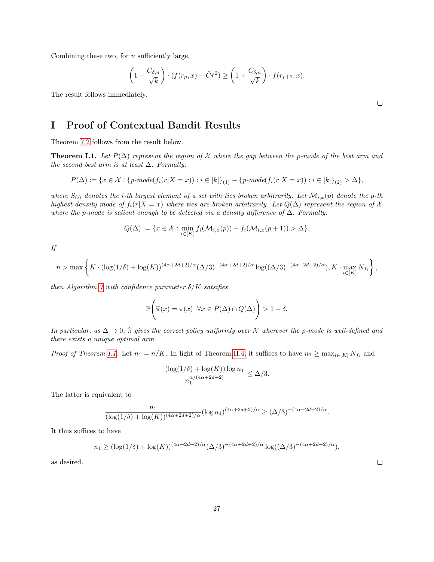Combining these two, for  $n$  sufficiently large,

$$
\left(1 - \frac{C_{\delta,n}}{\sqrt{k}}\right) \cdot (f(r_p, x) - \hat{C}\tilde{r}^2) \ge \left(1 + \frac{C_{\delta,n}}{\sqrt{k}}\right) \cdot f(r_{p+1}, x).
$$

The result follows immediately.

## I Proof of Contextual Bandit Results

Theorem [7.2](#page-10-1) follows from the result below.

<span id="page-26-0"></span>**Theorem I.1.** Let  $P(\Delta)$  represent the region of X where the gap between the p-mode of the best arm and the second best arm is at least  $\Delta$ . Formally:

$$
P(\Delta) := \{x \in \mathcal{X} : \{p\text{-}mode(f_i(r|X=x)) : i \in [k]\}_{(1)} - \{p\text{-}mode(f_i(r|X=x)) : i \in [k]\}_{(2)} > \Delta\},
$$

where  $S_{(i)}$  denotes the *i*-th largest element of a set with ties broken arbitrarily. Let  $\mathcal{M}_{i,x}(p)$  denote the p-th highest density mode of  $f_i(r|X = x)$  where ties are broken arbitrarily. Let  $Q(\Delta)$  represent the region of X where the p-mode is salient enough to be detected via a density difference of  $\Delta$ . Formally:

$$
Q(\Delta) := \{ x \in \mathcal{X} : \min_{i \in [K]} f_i(\mathcal{M}_{i,x}(p)) - f_i(\mathcal{M}_{i,x}(p+1)) > \Delta \}.
$$

If

$$
n > \max\left\{K \cdot (\log(1/\delta) + \log(K))^{(4\alpha + 2d + 2)/\alpha} (\Delta/3)^{-(4\alpha + 2d + 2)/\alpha} \log((\Delta/3)^{-(4\alpha + 2d + 2)/\alpha}), K \cdot \max_{i \in [K]} N_{f_i}\right\},\
$$

then Algorithm [7](#page-10-0) with confidence parameter  $\delta/K$  satsifies

$$
\mathbb{P}\left(\widehat{\pi}(x) = \pi(x) \ \forall x \in P(\Delta) \cap Q(\Delta)\right) > 1 - \delta.
$$

In particular, as  $\Delta \to 0$ ,  $\hat{\pi}$  gives the correct policy uniformly over X wherever the p-mode is well-defined and there exists a unique optimal arm.

*Proof of Theorem [I.1.](#page-26-0)* Let  $n_1 = n/K$ . In light of Theorem [H.4,](#page-24-0) it suffices to have  $n_1 \ge \max_{i \in [K]} N_{f_i}$  and

$$
\frac{(\log(1/\delta) + \log(K)) \log n_1}{n_1^{\alpha/(4\alpha + 2d + 2)}} \le \Delta/3.
$$

The latter is equivalent to

$$
\frac{n_1}{(\log(1/\delta) + \log(K))^{(4\alpha + 2d + 2)/\alpha}} (\log n_1)^{(4\alpha + 2d + 2)/\alpha} \ge (\Delta/3)^{-(4\alpha + 2d + 2)/\alpha}.
$$

It thus suffices to have

$$
n_1 \ge (\log(1/\delta) + \log(K))^{(4\alpha + 2d + 2)/\alpha} (\Delta/3)^{-(4\alpha + 2d + 2)/\alpha} \log((\Delta/3)^{-(4\alpha + 2d + 2)/\alpha}),
$$

as desired.

 $\Box$ 

 $\Box$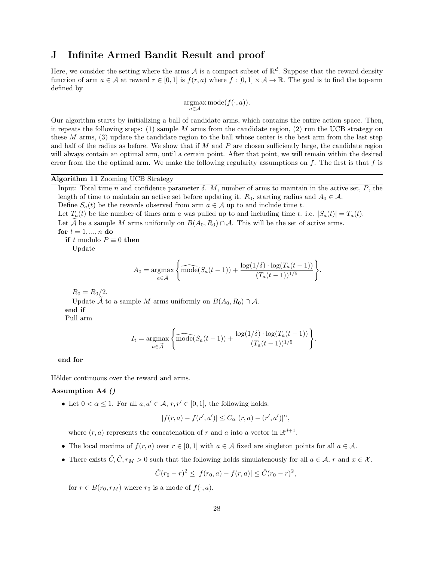#### J Infinite Armed Bandit Result and proof

Here, we consider the setting where the arms  $A$  is a compact subset of  $\mathbb{R}^d$ . Suppose that the reward density function of arm  $a \in \mathcal{A}$  at reward  $r \in [0,1]$  is  $f(r, a)$  where  $f : [0,1] \times \mathcal{A} \to \mathbb{R}$ . The goal is to find the top-arm defined by

$$
\mathop{\mathrm{argmax}}_{a \in \mathcal{A}} \mathrm{mode}(f(\cdot,a)).
$$

Our algorithm starts by initializing a ball of candidate arms, which contains the entire action space. Then, it repeats the following steps:  $(1)$  sample M arms from the candidate region,  $(2)$  run the UCB strategy on these  $M$  arms,  $(3)$  update the candidate region to the ball whose center is the best arm from the last step and half of the radius as before. We show that if M and P are chosen sufficiently large, the candidate region will always contain an optimal arm, until a certain point. After that point, we will remain within the desired error from the the optimal arm. We make the following regularity assumptions on  $f$ . The first is that  $f$  is

#### Algorithm 11 Zooming UCB Strategy

<span id="page-27-0"></span>Input: Total time n and confidence parameter  $\delta$ . M, number of arms to maintain in the active set, P, the length of time to maintain an active set before updating it.  $R_0$ , starting radius and  $A_0 \in \mathcal{A}$ .

Define  $S_a(t)$  be the rewards observed from arm  $a \in \mathcal{A}$  up to and include time t.

Let  $T_a(t)$  be the number of times arm a was pulled up to and including time t. i.e.  $|S_a(t)| = T_a(t)$ . Let A be a sample M arms uniformly on  $B(A_0, R_0) \cap A$ . This will be the set of active arms. for  $t = 1, ..., n$  do

if t modulo  $P \equiv 0$  then

Update

$$
A_0 = \underset{a \in \widetilde{\mathcal{A}}} {\operatorname{argmax}} \left\{ \widehat{\text{mode}}(S_a(t-1)) + \frac{\log(1/\delta) \cdot \log(T_a(t-1))}{(T_a(t-1))^{1/5}} \right\}.
$$

 $R_0 = R_0/2.$ 

Update A to a sample M arms uniformly on  $B(A_0, R_0) \cap A$ . end if Pull arm

$$
I_t = \underset{a \in \tilde{\mathcal{A}}}{\operatorname{argmax}} \left\{ \widehat{\text{mode}}(S_a(t-1)) + \frac{\log(1/\delta) \cdot \log(T_a(t-1))}{(T_a(t-1))^{1/5}} \right\}
$$

.

end for

Hölder continuous over the reward and arms.

#### Assumption A4 ()

• Let  $0 < \alpha \leq 1$ . For all  $a, a' \in \mathcal{A}, r, r' \in [0, 1]$ , the following holds.

$$
|f(r,a) - f(r',a')| \le C_{\alpha} |(r,a) - (r',a')|^{\alpha},
$$

where  $(r, a)$  represents the concatenation of r and a into a vector in  $\mathbb{R}^{d+1}$ .

- The local maxima of  $f(r, a)$  over  $r \in [0, 1]$  with  $a \in A$  fixed are singleton points for all  $a \in A$ .
- There exists  $\check{C}, \hat{C}, r_M > 0$  such that the following holds simulatenously for all  $a \in \mathcal{A}$ , r and  $x \in \mathcal{X}$ .

$$
\check{C}(r_0-r)^2 \le |f(r_0,a) - f(r,a)| \le \hat{C}(r_0-r)^2,
$$

for  $r \in B(r_0, r_M)$  where  $r_0$  is a mode of  $f(\cdot, a)$ .